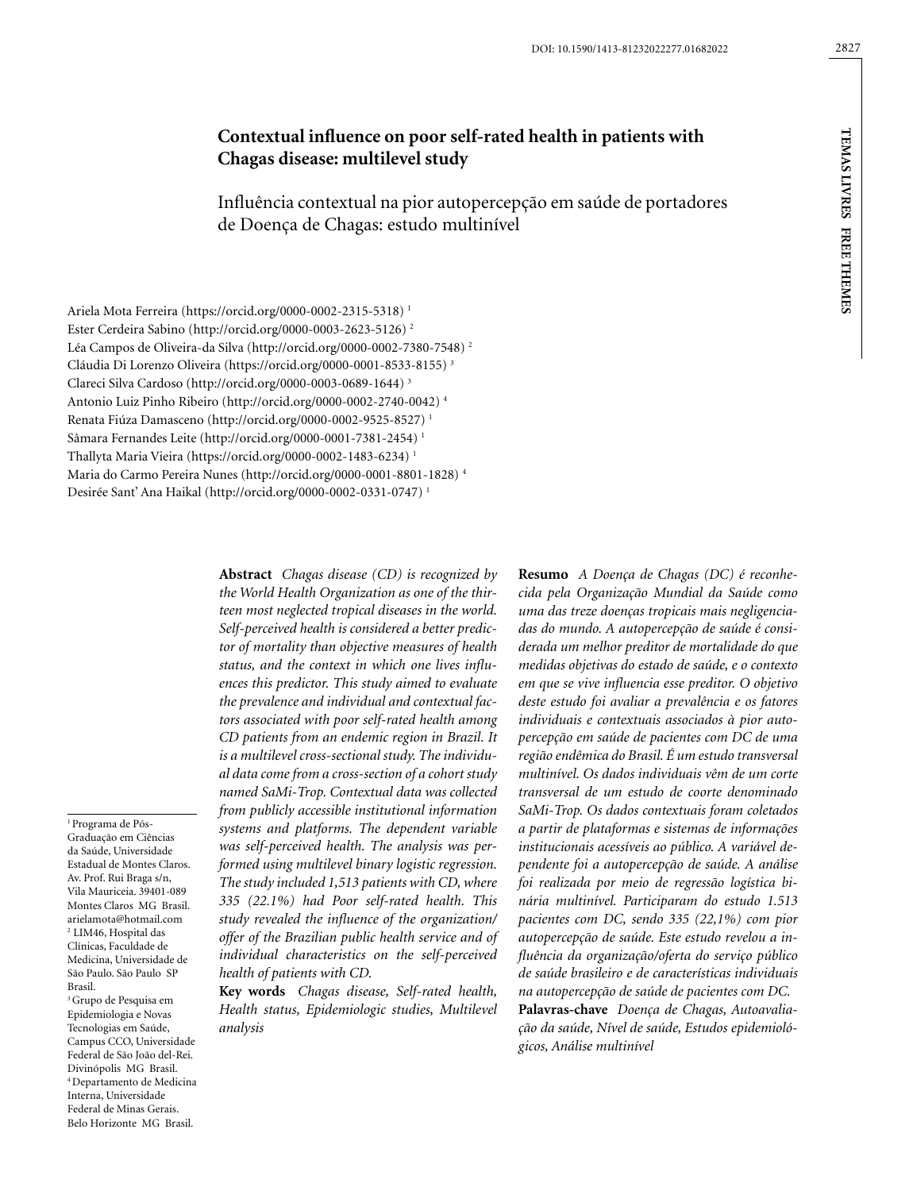# **Contextual influence on poor self-rated health in patients with Chagas disease: multilevel study**

Influência contextual na pior autopercepção em saúde de portadores de Doença de Chagas: estudo multinível

Ariela Mota Ferreira (https://orcid.org/0000-0002-2315-5318) 1 Ester Cerdeira Sabino (http://orcid.org/0000-0003-2623-5126) 2 Léa Campos de Oliveira-da Silva (http://orcid.org/0000-0002-7380-7548) 2 Cláudia Di Lorenzo Oliveira (https://orcid.org/0000-0001-8533-8155) 3 Clareci Silva Cardoso (http://orcid.org/0000-0003-0689-1644) 3 Antonio Luiz Pinho Ribeiro (http://orcid.org/0000-0002-2740-0042) 4 Renata Fiúza Damasceno (http://orcid.org/0000-0002-9525-8527) 1 Sâmara Fernandes Leite (http://orcid.org/0000-0001-7381-2454) 1 Thallyta Maria Vieira (https://orcid.org/0000-0002-1483-6234) 1 Maria do Carmo Pereira Nunes (http://orcid.org/0000-0001-8801-1828) 4 Desirée Sant' Ana Haikal (http://orcid.org/0000-0002-0331-0747) 1

1 Programa de Pós-Graduação em Ciências da Saúde, Universidade Estadual de Montes Claros. Av. Prof. Rui Braga s/n, Vila Mauriceia. 39401-089 Montes Claros MG Brasil. arielamota@hotmail.com 2 LIM46, Hospital das Clínicas, Faculdade de Medicina, Universidade de São Paulo. São Paulo SP Brasil. <sup>3</sup> Grupo de Pesquisa em

Epidemiologia e Novas Tecnologias em Saúde, Campus CCO, Universidade Federal de São João del-Rei. Divinópolis MG Brasil. 4 Departamento de Medicina Interna, Universidade Federal de Minas Gerais. Belo Horizonte MG Brasil.

**Abstract** *Chagas disease (CD) is recognized by the World Health Organization as one of the thirteen most neglected tropical diseases in the world. Self-perceived health is considered a better predictor of mortality than objective measures of health status, and the context in which one lives influences this predictor. This study aimed to evaluate the prevalence and individual and contextual factors associated with poor self-rated health among CD patients from an endemic region in Brazil. It is a multilevel cross-sectional study. The individual data come from a cross-section of a cohort study named SaMi-Trop. Contextual data was collected from publicly accessible institutional information systems and platforms. The dependent variable was self-perceived health. The analysis was performed using multilevel binary logistic regression. The study included 1,513 patients with CD, where 335 (22.1%) had Poor self-rated health. This study revealed the influence of the organization/ offer of the Brazilian public health service and of individual characteristics on the self-perceived health of patients with CD.*

**Key words** *Chagas disease, Self-rated health, Health status, Epidemiologic studies, Multilevel analysis*

**Resumo** *A Doença de Chagas (DC) é reconhecida pela Organização Mundial da Saúde como uma das treze doenças tropicais mais negligenciadas do mundo. A autopercepção de saúde é considerada um melhor preditor de mortalidade do que medidas objetivas do estado de saúde, e o contexto em que se vive influencia esse preditor. O objetivo deste estudo foi avaliar a prevalência e os fatores individuais e contextuais associados à pior autopercepção em saúde de pacientes com DC de uma região endêmica do Brasil. É um estudo transversal multinível. Os dados individuais vêm de um corte transversal de um estudo de coorte denominado SaMi-Trop. Os dados contextuais foram coletados a partir de plataformas e sistemas de informações institucionais acessíveis ao público. A variável dependente foi a autopercepção de saúde. A análise foi realizada por meio de regressão logística binária multinível. Participaram do estudo 1.513 pacientes com DC, sendo 335 (22,1%) com pior autopercepção de saúde. Este estudo revelou a influência da organização/oferta do serviço público de saúde brasileiro e de características individuais na autopercepção de saúde de pacientes com DC.* **Palavras-chave** *Doença de Chagas, Autoavaliação da saúde, Nível de saúde, Estudos epidemiológicos, Análise multinível*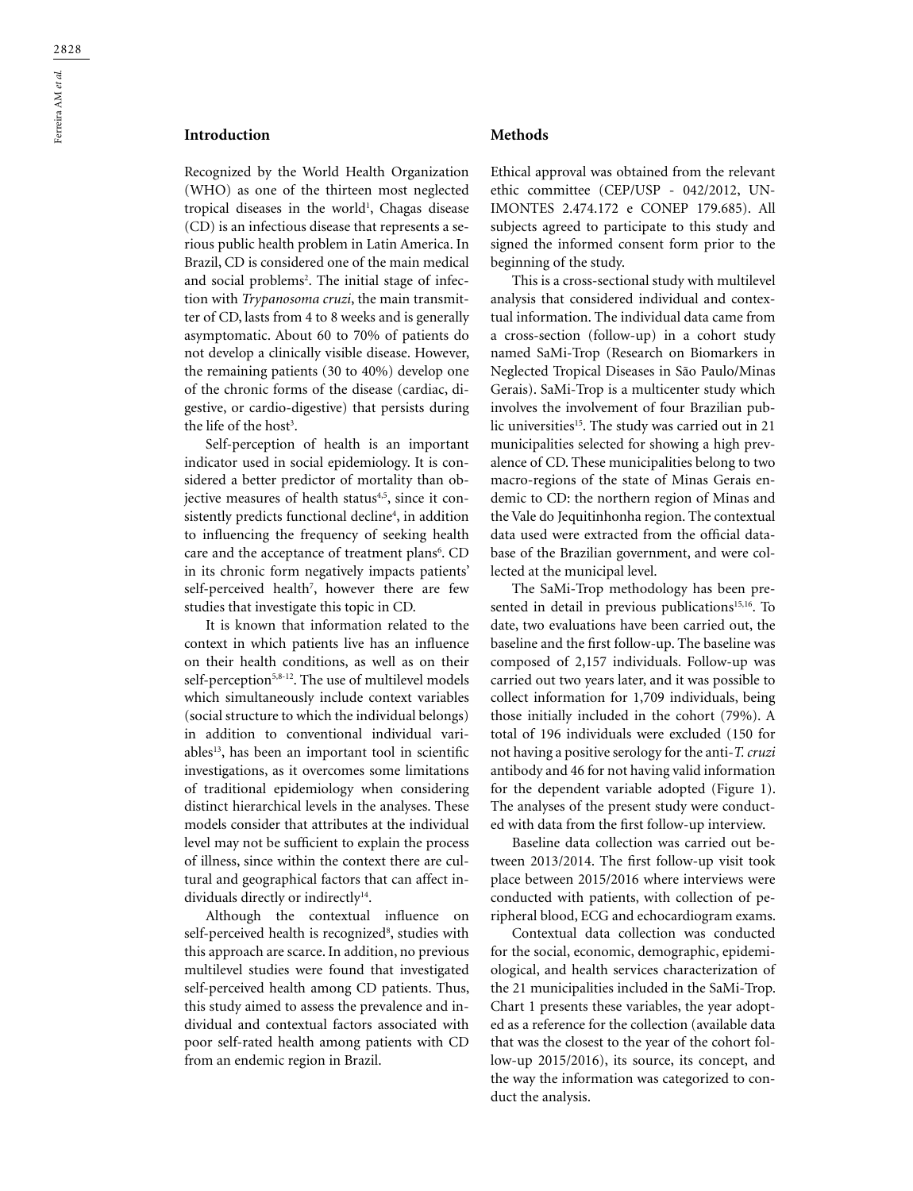## **Introduction**

Recognized by the World Health Organization (WHO) as one of the thirteen most neglected tropical diseases in the world<sup>1</sup>, Chagas disease (CD) is an infectious disease that represents a serious public health problem in Latin America. In Brazil, CD is considered one of the main medical and social problems<sup>2</sup>. The initial stage of infection with *Trypanosoma cruzi*, the main transmitter of CD, lasts from 4 to 8 weeks and is generally asymptomatic. About 60 to 70% of patients do not develop a clinically visible disease. However, the remaining patients (30 to 40%) develop one of the chronic forms of the disease (cardiac, digestive, or cardio-digestive) that persists during the life of the host<sup>3</sup>.

Self-perception of health is an important indicator used in social epidemiology. It is considered a better predictor of mortality than objective measures of health status<sup>4,5</sup>, since it consistently predicts functional decline<sup>4</sup>, in addition to influencing the frequency of seeking health care and the acceptance of treatment plans<sup>6</sup>. CD in its chronic form negatively impacts patients' self-perceived health<sup>7</sup>, however there are few studies that investigate this topic in CD.

It is known that information related to the context in which patients live has an influence on their health conditions, as well as on their self-perception<sup>5,8-12</sup>. The use of multilevel models which simultaneously include context variables (social structure to which the individual belongs) in addition to conventional individual variables<sup>13</sup>, has been an important tool in scientific investigations, as it overcomes some limitations of traditional epidemiology when considering distinct hierarchical levels in the analyses. These models consider that attributes at the individual level may not be sufficient to explain the process of illness, since within the context there are cultural and geographical factors that can affect individuals directly or indirectly<sup>14</sup>.

Although the contextual influence on self-perceived health is recognized<sup>8</sup>, studies with this approach are scarce. In addition, no previous multilevel studies were found that investigated self-perceived health among CD patients. Thus, this study aimed to assess the prevalence and individual and contextual factors associated with poor self-rated health among patients with CD from an endemic region in Brazil.

### **Methods**

Ethical approval was obtained from the relevant ethic committee (CEP/USP - 042/2012, UN-IMONTES 2.474.172 e CONEP 179.685). All subjects agreed to participate to this study and signed the informed consent form prior to the beginning of the study.

This is a cross-sectional study with multilevel analysis that considered individual and contextual information. The individual data came from a cross-section (follow-up) in a cohort study named SaMi-Trop (Research on Biomarkers in Neglected Tropical Diseases in São Paulo/Minas Gerais). SaMi-Trop is a multicenter study which involves the involvement of four Brazilian public universities<sup>15</sup>. The study was carried out in 21 municipalities selected for showing a high prevalence of CD. These municipalities belong to two macro-regions of the state of Minas Gerais endemic to CD: the northern region of Minas and the Vale do Jequitinhonha region. The contextual data used were extracted from the official database of the Brazilian government, and were collected at the municipal level.

The SaMi-Trop methodology has been presented in detail in previous publications<sup>15,16</sup>. To date, two evaluations have been carried out, the baseline and the first follow-up. The baseline was composed of 2,157 individuals. Follow-up was carried out two years later, and it was possible to collect information for 1,709 individuals, being those initially included in the cohort (79%). A total of 196 individuals were excluded (150 for not having a positive serology for the anti-*T. cruzi* antibody and 46 for not having valid information for the dependent variable adopted (Figure 1). The analyses of the present study were conducted with data from the first follow-up interview.

Baseline data collection was carried out between 2013/2014. The first follow-up visit took place between 2015/2016 where interviews were conducted with patients, with collection of peripheral blood, ECG and echocardiogram exams.

Contextual data collection was conducted for the social, economic, demographic, epidemiological, and health services characterization of the 21 municipalities included in the SaMi-Trop. Chart 1 presents these variables, the year adopted as a reference for the collection (available data that was the closest to the year of the cohort follow-up 2015/2016), its source, its concept, and the way the information was categorized to conduct the analysis.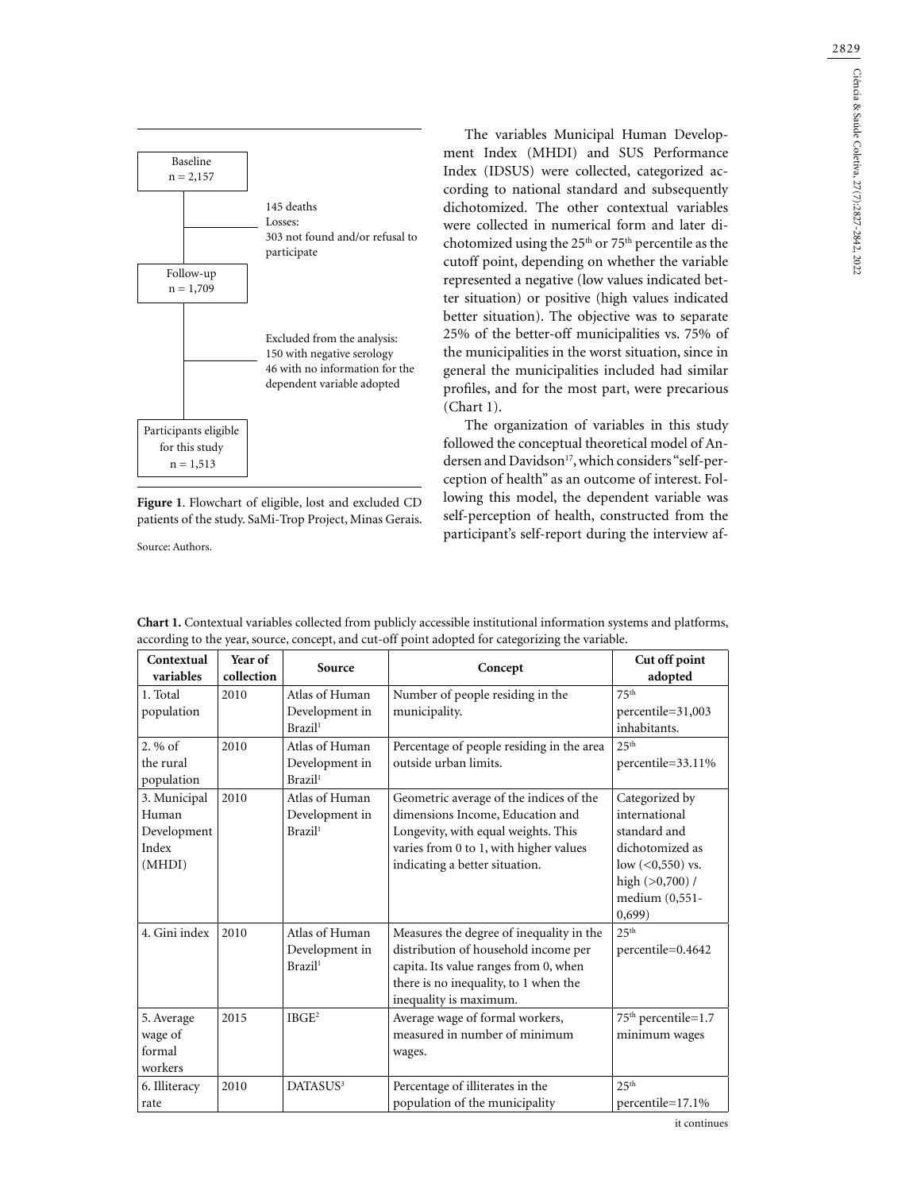



Source: Authors.

The variables Municipal Human Development Index (MHDI) and SUS Performance Index (IDSUS) were collected, categorized according to national standard and subsequently dichotomized. The other contextual variables were collected in numerical form and later dichotomized using the 25th or 75th percentile as the cutoff point, depending on whether the variable represented a negative (low values indicated better situation) or positive (high values indicated better situation). The objective was to separate 25% of the better-off municipalities vs. 75% of the municipalities in the worst situation, since in general the municipalities included had similar profiles, and for the most part, were precarious (Chart 1).

The organization of variables in this study followed the conceptual theoretical model of Andersen and Davidson<sup>17</sup>, which considers "self-perception of health" as an outcome of interest. Following this model, the dependent variable was self-perception of health, constructed from the participant's self-report during the interview af-

| Contextual<br>variables                                 | Year of<br>collection | Source                                                  | Concept                                                                                                                                                                                        | Cut off point<br>adopted                                                                                                                  |
|---------------------------------------------------------|-----------------------|---------------------------------------------------------|------------------------------------------------------------------------------------------------------------------------------------------------------------------------------------------------|-------------------------------------------------------------------------------------------------------------------------------------------|
| 1. Total<br>population                                  | 2010                  | Atlas of Human<br>Development in<br>Brazil <sup>1</sup> | Number of people residing in the<br>municipality.                                                                                                                                              | 75 <sup>th</sup><br>percentile=31,003<br>inhabitants.                                                                                     |
| $2.96$ of<br>the rural<br>population                    | 2010                  | Atlas of Human<br>Development in<br>Brazil <sup>1</sup> | Percentage of people residing in the area<br>outside urban limits.                                                                                                                             | 25 <sup>th</sup><br>percentile=33.11%                                                                                                     |
| 3. Municipal<br>Human<br>Development<br>Index<br>(MHDI) | 2010                  | Atlas of Human<br>Development in<br>Brazil <sup>1</sup> | Geometric average of the indices of the<br>dimensions Income, Education and<br>Longevity, with equal weights. This<br>varies from 0 to 1, with higher values<br>indicating a better situation. | Categorized by<br>international<br>standard and<br>dichotomized as<br>$low (<0,550)$ vs.<br>high $(>0,700)$ /<br>medium (0,551-<br>0,699) |
| 4. Gini index                                           | 2010                  | Atlas of Human<br>Development in<br>Brazil <sup>1</sup> | Measures the degree of inequality in the<br>distribution of household income per<br>capita. Its value ranges from 0, when<br>there is no inequality, to 1 when the<br>inequality is maximum.   | 25 <sup>th</sup><br>percentile=0.4642                                                                                                     |
| 5. Average<br>wage of<br>formal<br>workers              | 2015                  | IBGE <sup>2</sup>                                       | Average wage of formal workers,<br>measured in number of minimum<br>wages.                                                                                                                     | 75 <sup>th</sup> percentile=1.7<br>minimum wages                                                                                          |
| 6. Illiteracy<br>rate                                   | 2010                  | DATASUS <sup>3</sup>                                    | Percentage of illiterates in the<br>population of the municipality                                                                                                                             | $2.5$ <sup>th</sup><br>percentile=17.1%                                                                                                   |

**Chart 1.** Contextual variables collected from publicly accessible institutional information systems and platforms, according to the year, source, concept, and cut-off point adopted for categorizing the variable.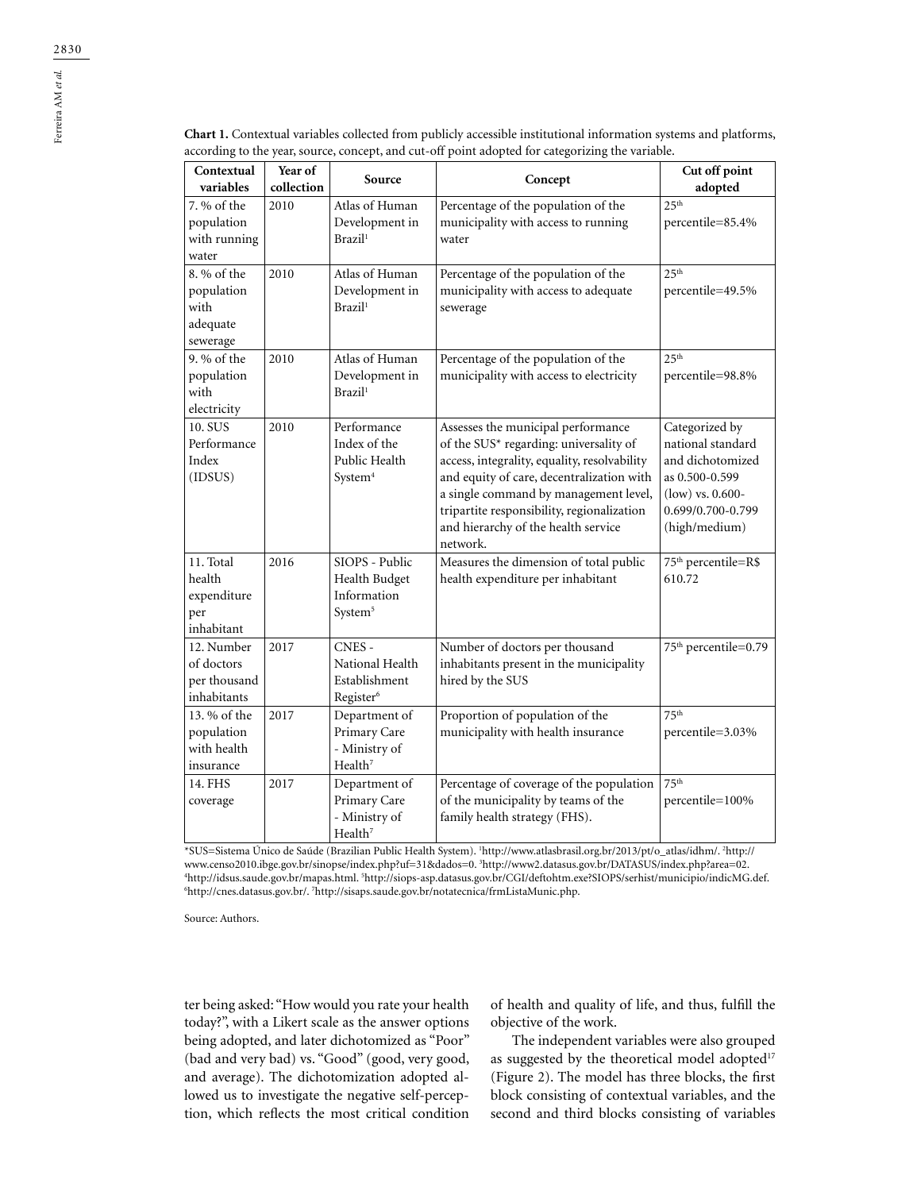| Contextual<br>variables                                   | Year of<br>collection | Source                                                                | Concept                                                                                                                                                                                                                                                                                                             | Cut off point<br>adopted                                                                                                              |
|-----------------------------------------------------------|-----------------------|-----------------------------------------------------------------------|---------------------------------------------------------------------------------------------------------------------------------------------------------------------------------------------------------------------------------------------------------------------------------------------------------------------|---------------------------------------------------------------------------------------------------------------------------------------|
| 7. % of the<br>population<br>with running<br>water        | 2010                  | Atlas of Human<br>Development in<br>Brazil <sup>1</sup>               | Percentage of the population of the<br>municipality with access to running<br>water                                                                                                                                                                                                                                 | 25 <sup>th</sup><br>percentile=85.4%                                                                                                  |
| 8. % of the<br>population<br>with<br>adequate<br>sewerage | 2010                  | Atlas of Human<br>Development in<br>Brazil <sup>1</sup>               | Percentage of the population of the<br>municipality with access to adequate<br>sewerage                                                                                                                                                                                                                             | $25^{\text{th}}$<br>percentile=49.5%                                                                                                  |
| 9. % of the<br>population<br>with<br>electricity          | 2010                  | Atlas of Human<br>Development in<br>Brazil <sup>1</sup>               | Percentage of the population of the<br>municipality with access to electricity                                                                                                                                                                                                                                      | 25 <sup>th</sup><br>percentile=98.8%                                                                                                  |
| 10. SUS<br>Performance<br>Index<br>(IDSUS)                | 2010                  | Performance<br>Index of the<br>Public Health<br>System <sup>4</sup>   | Assesses the municipal performance<br>of the SUS* regarding: universality of<br>access, integrality, equality, resolvability<br>and equity of care, decentralization with<br>a single command by management level,<br>tripartite responsibility, regionalization<br>and hierarchy of the health service<br>network. | Categorized by<br>national standard<br>and dichotomized<br>as 0.500-0.599<br>$(low)$ vs. 0.600-<br>0.699/0.700-0.799<br>(high/medium) |
| 11. Total<br>health<br>expenditure<br>per<br>inhabitant   | 2016                  | SIOPS - Public<br>Health Budget<br>Information<br>System <sup>5</sup> | Measures the dimension of total public<br>health expenditure per inhabitant                                                                                                                                                                                                                                         | 75 <sup>th</sup> percentile=R\$<br>610.72                                                                                             |
| 12. Number<br>of doctors<br>per thousand<br>inhabitants   | 2017                  | CNES-<br>National Health<br>Establishment<br>Register <sup>6</sup>    | Number of doctors per thousand<br>inhabitants present in the municipality<br>hired by the SUS                                                                                                                                                                                                                       | 75 <sup>th</sup> percentile=0.79                                                                                                      |
| 13. % of the<br>population                                | 2017                  | Department of<br>Primary Care                                         | Proportion of population of the<br>municipality with health insurance                                                                                                                                                                                                                                               | 75 <sup>th</sup><br>percentile=3.03%                                                                                                  |

**Chart 1.** Contextual variables collected from publicly accessible institutional information systems and platforms, according to the very source, concept, and cut, off point adopted for categorizing the verishles according to the year, source, concept, and cut-off point adopted for categorizing the variable.

\*SUS=Sistema Único de Saúde (Brazilian Public Health System). 1 http://www.atlasbrasil.org.br/2013/pt/o\_atlas/idhm/. 2 http:// www.censo2010.ibge.gov.br/sinopse/index.php?uf=31&dados=0. <sup>3</sup>http://www2.datasus.gov.br/DATASUS/index.php?area=02.<br><sup>4</sup>http://idsus.saude.gov.br/manas.html=<sup>5</sup>http://sions-asp.datasus.gov.br/CGUdeftohtm.exe?SIOPS/serhist/m http://idsus.saude.gov.br/mapas.html. 5 http://siops-asp.datasus.gov.br/CGI/deftohtm.exe?SIOPS/serhist/municipio/indicMG.def. 6 http://cnes.datasus.gov.br/. <sup>7</sup>http://sisaps.saude.gov.br/notatecnica/frmListaMunic.php.

Percentage of coverage of the population of the municipality by teams of the family health strategy (FHS).

Source: Authors.

with health insurance

14. FHS coverage

ter being asked: "How would you rate your health today?", with a Likert scale as the answer options being adopted, and later dichotomized as "Poor" (bad and very bad) vs. "Good" (good, very good, and average). The dichotomization adopted allowed us to investigate the negative self-perception, which reflects the most critical condition

- Ministry of Health<sup>7</sup>

Primary Care - Ministry of  $Health<sup>7</sup>$ 

2017 Department of

of health and quality of life, and thus, fulfill the objective of the work.

75th

percentile=100%

The independent variables were also grouped as suggested by the theoretical model adopted<sup>17</sup> (Figure 2). The model has three blocks, the first block consisting of contextual variables, and the second and third blocks consisting of variables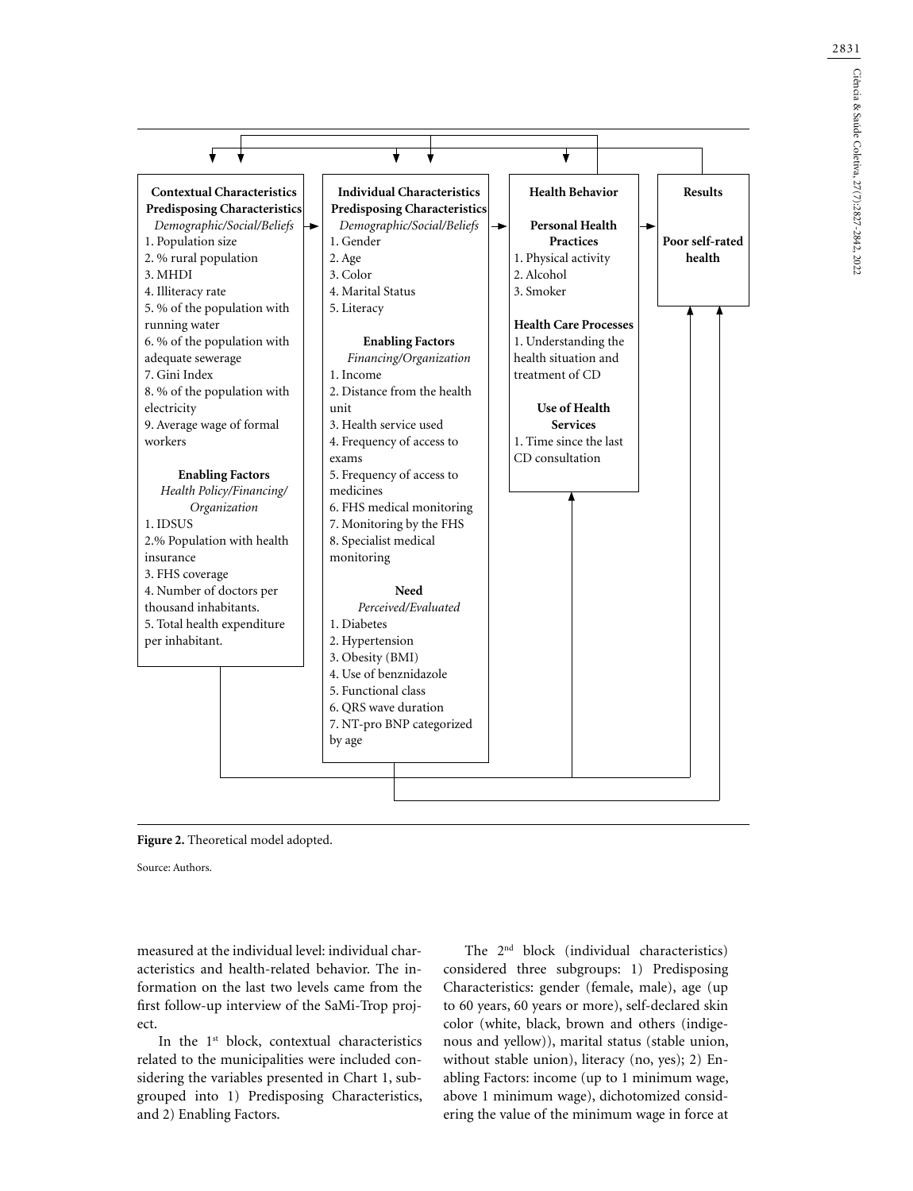Ciência & Saúde Coletiva, 27(7):2827-2842, 2022 Ciência & Saúde Coletiva, 27(7):2827-2842, 2022





Source: Authors.

measured at the individual level: individual characteristics and health-related behavior. The information on the last two levels came from the first follow-up interview of the SaMi-Trop project.

In the 1<sup>st</sup> block, contextual characteristics related to the municipalities were included considering the variables presented in Chart 1, subgrouped into 1) Predisposing Characteristics, and 2) Enabling Factors.

The 2<sup>nd</sup> block (individual characteristics) considered three subgroups: 1) Predisposing Characteristics: gender (female, male), age (up to 60 years, 60 years or more), self-declared skin color (white, black, brown and others (indigenous and yellow)), marital status (stable union, without stable union), literacy (no, yes); 2) Enabling Factors: income (up to 1 minimum wage, above 1 minimum wage), dichotomized considering the value of the minimum wage in force at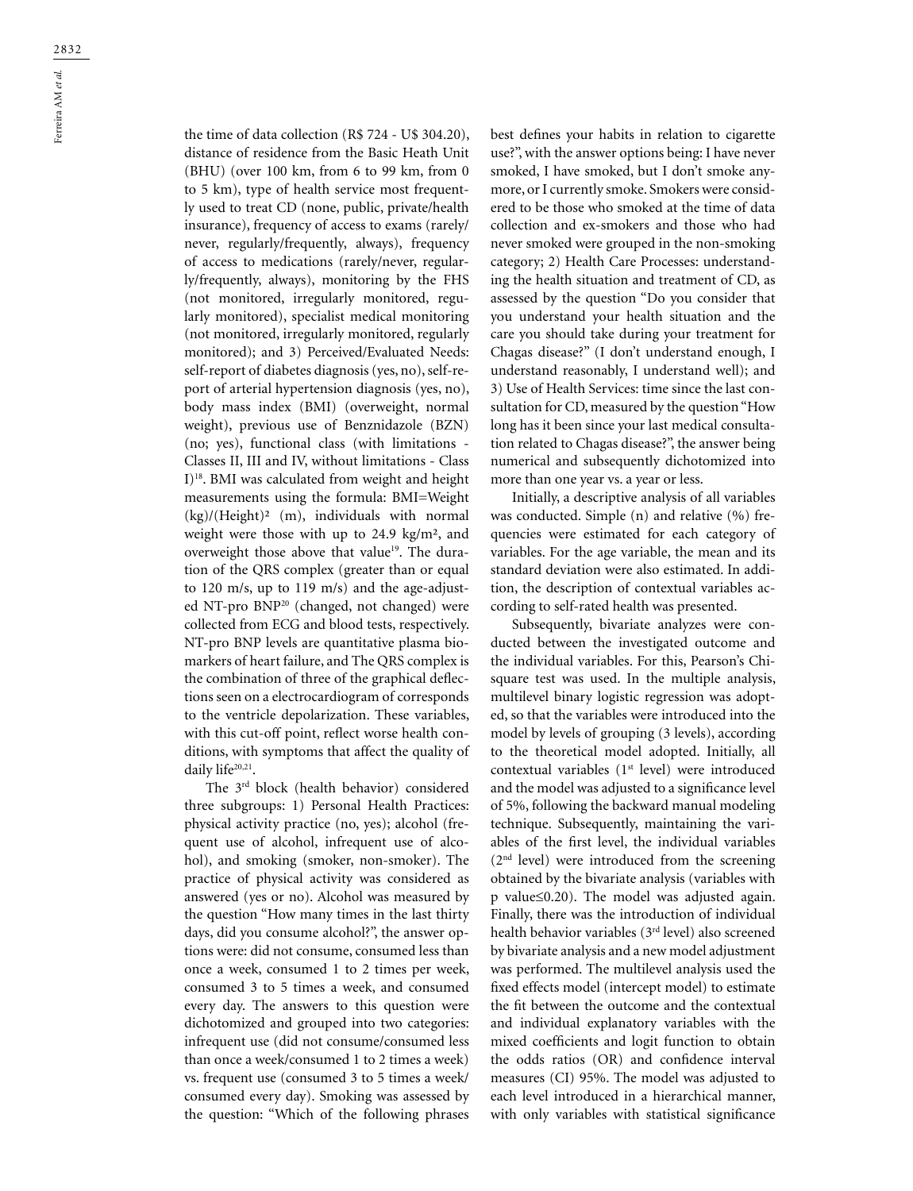the time of data collection (R\$ 724 - U\$ 304.20), distance of residence from the Basic Heath Unit (BHU) (over 100 km, from 6 to 99 km, from 0 to 5 km), type of health service most frequently used to treat CD (none, public, private/health insurance), frequency of access to exams (rarely/ never, regularly/frequently, always), frequency of access to medications (rarely/never, regularly/frequently, always), monitoring by the FHS (not monitored, irregularly monitored, regularly monitored), specialist medical monitoring (not monitored, irregularly monitored, regularly monitored); and 3) Perceived/Evaluated Needs: self-report of diabetes diagnosis (yes, no), self-report of arterial hypertension diagnosis (yes, no), body mass index (BMI) (overweight, normal weight), previous use of Benznidazole (BZN) (no; yes), functional class (with limitations - Classes II, III and IV, without limitations - Class I)18. BMI was calculated from weight and height measurements using the formula: BMI=Weight  $(kg)/(Height)^2$  (m), individuals with normal weight were those with up to 24.9 kg/m², and overweight those above that value<sup>19</sup>. The duration of the QRS complex (greater than or equal to 120 m/s, up to 119 m/s) and the age-adjusted NT-pro BNP20 (changed, not changed) were collected from ECG and blood tests, respectively. NT-pro BNP levels are quantitative plasma biomarkers of heart failure, and The QRS complex is the combination of three of the graphical deflections seen on a electrocardiogram of corresponds to the ventricle depolarization. These variables, with this cut-off point, reflect worse health conditions, with symptoms that affect the quality of daily life<sup>20,21</sup>.

The 3rd block (health behavior) considered three subgroups: 1) Personal Health Practices: physical activity practice (no, yes); alcohol (frequent use of alcohol, infrequent use of alcohol), and smoking (smoker, non-smoker). The practice of physical activity was considered as answered (yes or no). Alcohol was measured by the question "How many times in the last thirty days, did you consume alcohol?", the answer options were: did not consume, consumed less than once a week, consumed 1 to 2 times per week, consumed 3 to 5 times a week, and consumed every day. The answers to this question were dichotomized and grouped into two categories: infrequent use (did not consume/consumed less than once a week/consumed 1 to 2 times a week) vs. frequent use (consumed 3 to 5 times a week/ consumed every day). Smoking was assessed by the question: "Which of the following phrases

best defines your habits in relation to cigarette use?", with the answer options being: I have never smoked, I have smoked, but I don't smoke anymore, or I currently smoke. Smokers were considered to be those who smoked at the time of data collection and ex-smokers and those who had never smoked were grouped in the non-smoking category; 2) Health Care Processes: understanding the health situation and treatment of CD, as assessed by the question "Do you consider that you understand your health situation and the care you should take during your treatment for Chagas disease?" (I don't understand enough, I understand reasonably, I understand well); and 3) Use of Health Services: time since the last consultation for CD, measured by the question "How long has it been since your last medical consultation related to Chagas disease?", the answer being numerical and subsequently dichotomized into more than one year vs. a year or less.

Initially, a descriptive analysis of all variables was conducted. Simple (n) and relative (%) frequencies were estimated for each category of variables. For the age variable, the mean and its standard deviation were also estimated. In addition, the description of contextual variables according to self-rated health was presented.

Subsequently, bivariate analyzes were conducted between the investigated outcome and the individual variables. For this, Pearson's Chisquare test was used. In the multiple analysis, multilevel binary logistic regression was adopted, so that the variables were introduced into the model by levels of grouping (3 levels), according to the theoretical model adopted. Initially, all contextual variables (1<sup>st</sup> level) were introduced and the model was adjusted to a significance level of 5%, following the backward manual modeling technique. Subsequently, maintaining the variables of the first level, the individual variables  $(2<sup>nd</sup> level)$  were introduced from the screening obtained by the bivariate analysis (variables with p value≤0.20). The model was adjusted again. Finally, there was the introduction of individual health behavior variables (3rd level) also screened by bivariate analysis and a new model adjustment was performed. The multilevel analysis used the fixed effects model (intercept model) to estimate the fit between the outcome and the contextual and individual explanatory variables with the mixed coefficients and logit function to obtain the odds ratios (OR) and confidence interval measures (CI) 95%. The model was adjusted to each level introduced in a hierarchical manner, with only variables with statistical significance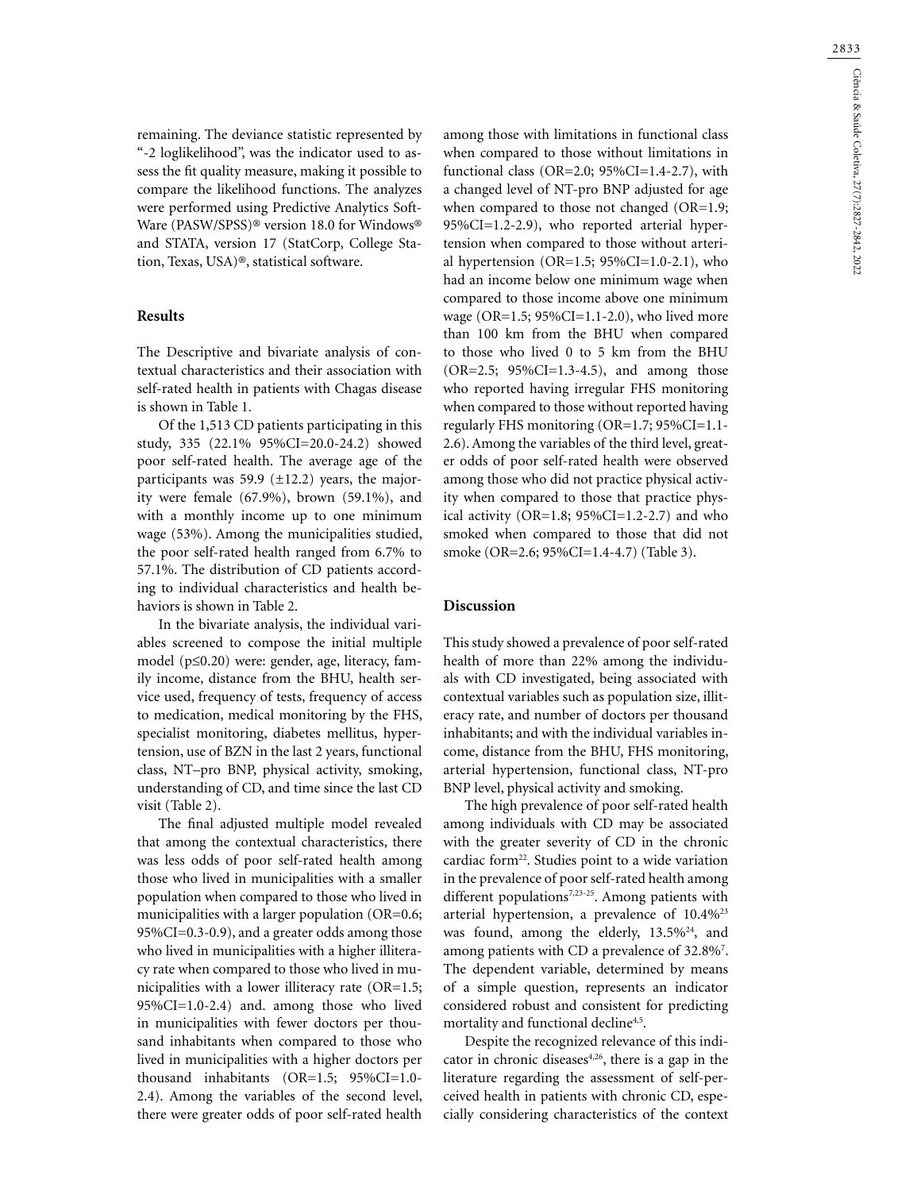remaining. The deviance statistic represented by "-2 loglikelihood", was the indicator used to assess the fit quality measure, making it possible to compare the likelihood functions. The analyzes were performed using Predictive Analytics Soft-Ware (PASW/SPSS)® version 18.0 for Windows® and STATA, version 17 (StatCorp, College Station, Texas, USA)®, statistical software.

### **Results**

The Descriptive and bivariate analysis of contextual characteristics and their association with self-rated health in patients with Chagas disease is shown in Table 1.

Of the 1,513 CD patients participating in this study, 335 (22.1% 95%CI=20.0-24.2) showed poor self-rated health. The average age of the participants was 59.9 ( $\pm$ 12.2) years, the majority were female (67.9%), brown (59.1%), and with a monthly income up to one minimum wage (53%). Among the municipalities studied, the poor self-rated health ranged from 6.7% to 57.1%. The distribution of CD patients according to individual characteristics and health behaviors is shown in Table 2.

In the bivariate analysis, the individual variables screened to compose the initial multiple model (p≤0.20) were: gender, age, literacy, family income, distance from the BHU, health service used, frequency of tests, frequency of access to medication, medical monitoring by the FHS, specialist monitoring, diabetes mellitus, hypertension, use of BZN in the last 2 years, functional class, NT–pro BNP, physical activity, smoking, understanding of CD, and time since the last CD visit (Table 2).

The final adjusted multiple model revealed that among the contextual characteristics, there was less odds of poor self-rated health among those who lived in municipalities with a smaller population when compared to those who lived in municipalities with a larger population (OR=0.6; 95%CI=0.3-0.9), and a greater odds among those who lived in municipalities with a higher illiteracy rate when compared to those who lived in municipalities with a lower illiteracy rate (OR=1.5; 95%CI=1.0-2.4) and. among those who lived in municipalities with fewer doctors per thousand inhabitants when compared to those who lived in municipalities with a higher doctors per thousand inhabitants (OR=1.5; 95%CI=1.0- 2.4). Among the variables of the second level, there were greater odds of poor self-rated health

among those with limitations in functional class when compared to those without limitations in functional class (OR=2.0;  $95\%$ CI=1.4-2.7), with a changed level of NT-pro BNP adjusted for age when compared to those not changed (OR=1.9; 95%CI=1.2-2.9), who reported arterial hypertension when compared to those without arterial hypertension (OR=1.5; 95%CI=1.0-2.1), who had an income below one minimum wage when compared to those income above one minimum wage ( $OR=1.5$ ;  $95\%CI=1.1-2.0$ ), who lived more than 100 km from the BHU when compared to those who lived 0 to 5 km from the BHU (OR=2.5; 95%CI=1.3-4.5), and among those who reported having irregular FHS monitoring when compared to those without reported having regularly FHS monitoring (OR=1.7; 95%CI=1.1- 2.6). Among the variables of the third level, greater odds of poor self-rated health were observed among those who did not practice physical activity when compared to those that practice physical activity ( $OR=1.8$ ;  $95\%CI=1.2-2.7$ ) and who smoked when compared to those that did not smoke (OR=2.6; 95%CI=1.4-4.7) (Table 3).

## **Discussion**

This study showed a prevalence of poor self-rated health of more than 22% among the individuals with CD investigated, being associated with contextual variables such as population size, illiteracy rate, and number of doctors per thousand inhabitants; and with the individual variables income, distance from the BHU, FHS monitoring, arterial hypertension, functional class, NT-pro BNP level, physical activity and smoking.

The high prevalence of poor self-rated health among individuals with CD may be associated with the greater severity of CD in the chronic cardiac form<sup>22</sup>. Studies point to a wide variation in the prevalence of poor self-rated health among different populations<sup>7,23-25</sup>. Among patients with arterial hypertension, a prevalence of 10.4%23 was found, among the elderly,  $13.5\%^{24}$ , and among patients with CD a prevalence of 32.8%<sup>7</sup>. The dependent variable, determined by means of a simple question, represents an indicator considered robust and consistent for predicting mortality and functional decline<sup>4,5</sup>.

Despite the recognized relevance of this indicator in chronic diseases $4,26$ , there is a gap in the literature regarding the assessment of self-perceived health in patients with chronic CD, especially considering characteristics of the context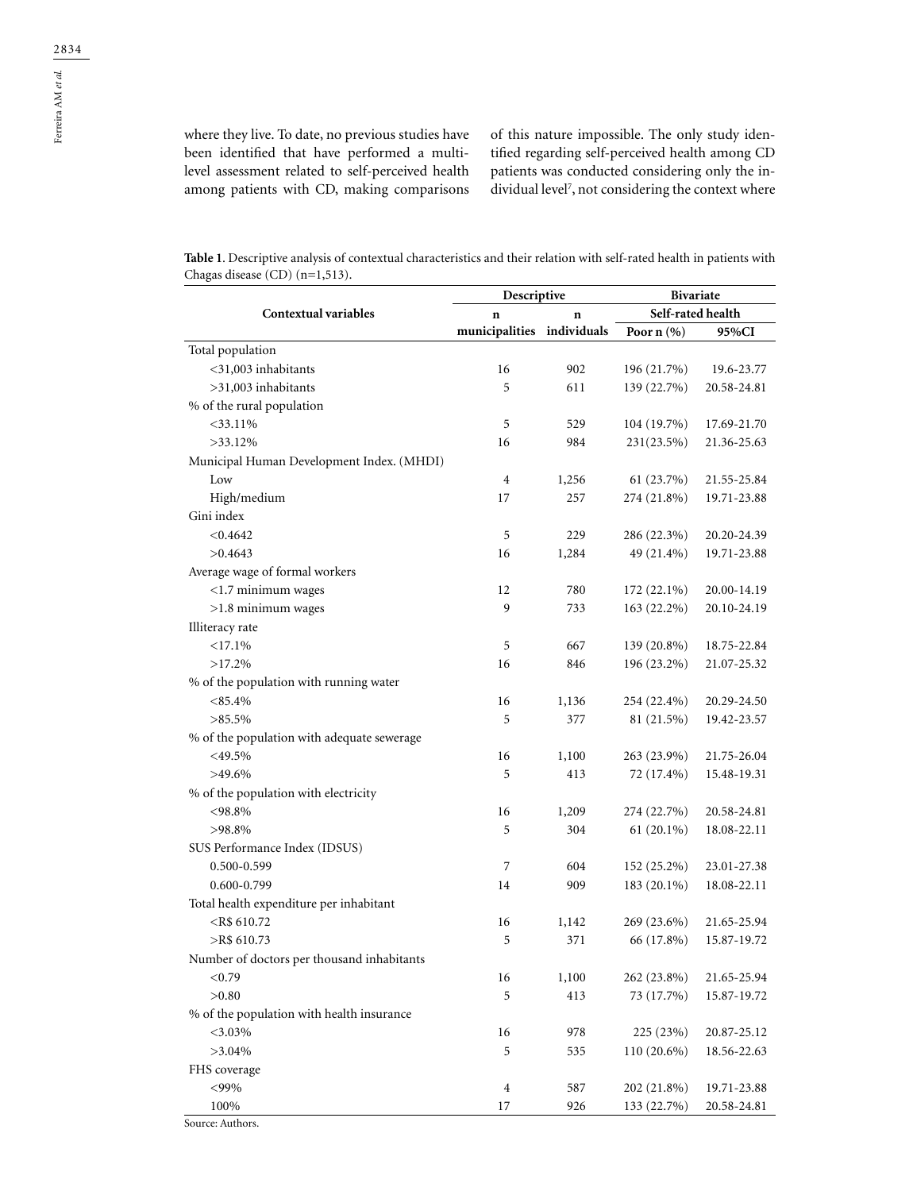Ferreira AM *et al.*

where they live. To date, no previous studies have been identified that have performed a multilevel assessment related to self-perceived health among patients with CD, making comparisons of this nature impossible. The only study identified regarding self-perceived health among CD patients was conducted considering only the individual level7 , not considering the context where

**Table 1**. Descriptive analysis of contextual characteristics and their relation with self-rated health in patients with Chagas disease (CD) (n=1,513).

|                                            | Descriptive                |       | <b>Bivariate</b>  |             |
|--------------------------------------------|----------------------------|-------|-------------------|-------------|
| <b>Contextual variables</b>                | n                          | n     | Self-rated health |             |
|                                            | municipalities individuals |       | Poor $n$ (%)      | 95%CI       |
| Total population                           |                            |       |                   |             |
| $<$ 31,003 inhabitants                     | 16                         | 902   | 196 (21.7%)       | 19.6-23.77  |
| >31,003 inhabitants                        | 5                          | 611   | 139 (22.7%)       | 20.58-24.81 |
| % of the rural population                  |                            |       |                   |             |
| $<$ 33.11%                                 | 5                          | 529   | 104 (19.7%)       | 17.69-21.70 |
| $>33.12\%$                                 | 16                         | 984   | $231(23.5\%)$     | 21.36-25.63 |
| Municipal Human Development Index. (MHDI)  |                            |       |                   |             |
| Low                                        | 4                          | 1,256 | 61 (23.7%)        | 21.55-25.84 |
| High/medium                                | 17                         | 257   | 274 (21.8%)       | 19.71-23.88 |
| Gini index                                 |                            |       |                   |             |
| < 0.4642                                   | 5                          | 229   | 286 (22.3%)       | 20.20-24.39 |
| >0.4643                                    | 16                         | 1,284 | 49 (21.4%)        | 19.71-23.88 |
| Average wage of formal workers             |                            |       |                   |             |
| $<$ 1.7 minimum wages                      | 12                         | 780   | 172 (22.1%)       | 20.00-14.19 |
| $>1.8$ minimum wages                       | 9                          | 733   | 163 (22.2%)       | 20.10-24.19 |
| Illiteracy rate                            |                            |       |                   |             |
| <17.1%                                     | 5                          | 667   | 139 (20.8%)       | 18.75-22.84 |
| $>17.2\%$                                  | 16                         | 846   | 196 (23.2%)       | 21.07-25.32 |
| % of the population with running water     |                            |       |                   |             |
| $< 85.4\%$                                 | 16                         | 1,136 | 254 (22.4%)       | 20.29-24.50 |
| $>85.5\%$                                  | 5                          | 377   | 81 (21.5%)        | 19.42-23.57 |
| % of the population with adequate sewerage |                            |       |                   |             |
| $<$ 49.5%                                  | 16                         | 1,100 | 263 (23.9%)       | 21.75-26.04 |
| $>49.6\%$                                  | 5                          | 413   | 72 (17.4%)        | 15.48-19.31 |
| % of the population with electricity       |                            |       |                   |             |
| $< 98.8\%$                                 | 16                         | 1,209 | 274 (22.7%)       | 20.58-24.81 |
| $>98.8\%$                                  | 5                          | 304   | $61(20.1\%)$      | 18.08-22.11 |
| SUS Performance Index (IDSUS)              |                            |       |                   |             |
| 0.500-0.599                                | $\overline{7}$             | 604   | 152 (25.2%)       | 23.01-27.38 |
| 0.600-0.799                                | 14                         | 909   | 183 (20.1%)       | 18.08-22.11 |
| Total health expenditure per inhabitant    |                            |       |                   |             |
| $<$ R\$ 610.72                             | 16                         | 1,142 | 269 (23.6%)       | 21.65-25.94 |
| $>$ R\$ 610.73                             | 5                          | 371   | 66 (17.8%)        | 15.87-19.72 |
| Number of doctors per thousand inhabitants |                            |       |                   |             |
| < 0.79                                     | 16                         | 1,100 | 262 (23.8%)       | 21.65-25.94 |
| >0.80                                      | 5                          | 413   | 73 (17.7%)        | 15.87-19.72 |
| % of the population with health insurance  |                            |       |                   |             |
| $<$ 3.03%                                  | 16                         | 978   | 225 (23%)         | 20.87-25.12 |
| $>3.04\%$                                  | 5                          | 535   | 110 (20.6%)       | 18.56-22.63 |
| FHS coverage                               |                            |       |                   |             |
| $<$ 99%                                    | $\overline{4}$             | 587   | 202 (21.8%)       | 19.71-23.88 |
| 100%                                       | 17                         | 926   | 133 (22.7%)       | 20.58-24.81 |
|                                            |                            |       |                   |             |

Source: Authors.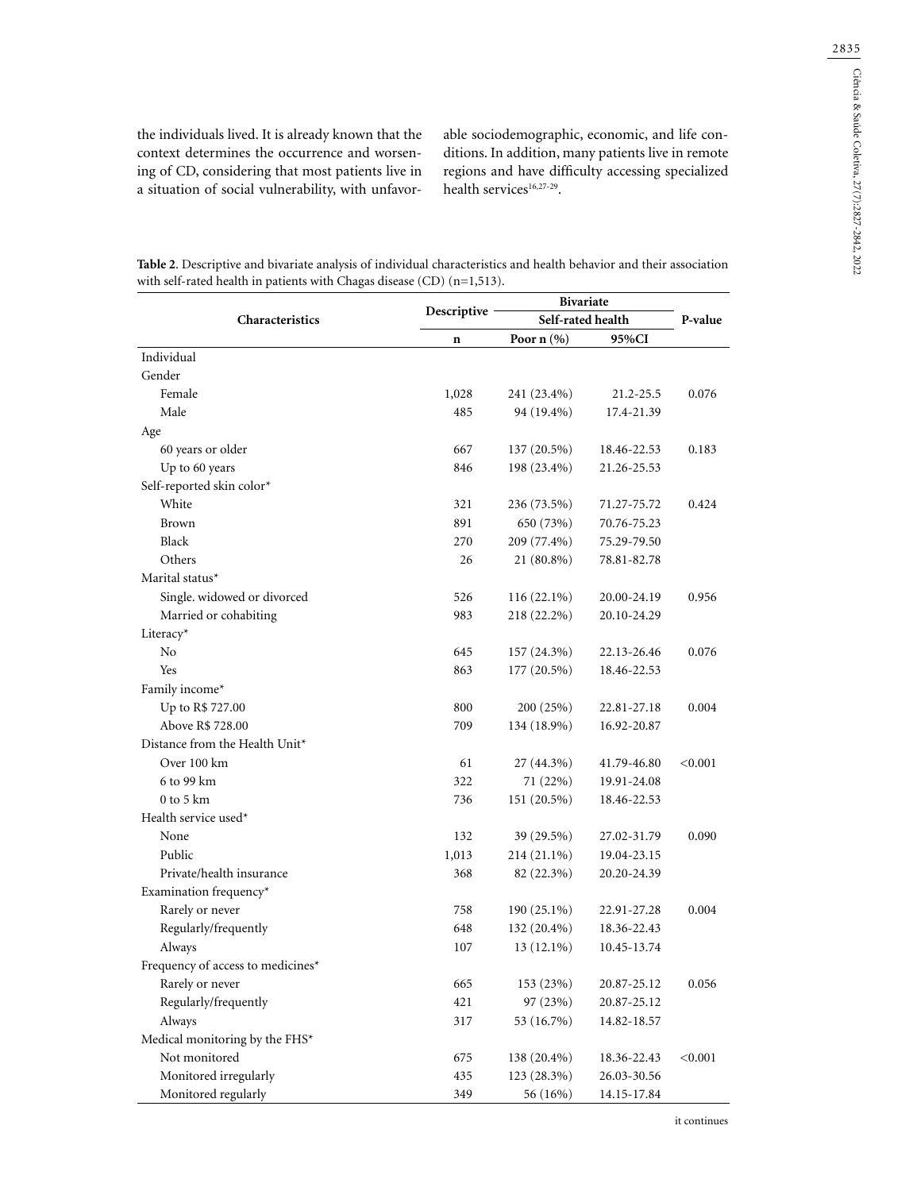the individuals lived. It is already known that the context determines the occurrence and worsening of CD, considering that most patients live in a situation of social vulnerability, with unfavor-

able sociodemographic, economic, and life conditions. In addition, many patients live in remote regions and have difficulty accessing specialized health services $16,27-29$ .

|                                   |             | <b>Bivariate</b>  |             |         |
|-----------------------------------|-------------|-------------------|-------------|---------|
| Characteristics                   | Descriptive | Self-rated health |             | P-value |
|                                   | $\mathbf n$ | Poor $n$ $(\%)$   | 95%CI       |         |
| Individual                        |             |                   |             |         |
| Gender                            |             |                   |             |         |
| Female                            | 1,028       | 241 (23.4%)       | 21.2-25.5   | 0.076   |
| Male                              | 485         | 94 (19.4%)        | 17.4-21.39  |         |
| Age                               |             |                   |             |         |
| 60 years or older                 | 667         | 137 (20.5%)       | 18.46-22.53 | 0.183   |
| Up to 60 years                    | 846         | 198 (23.4%)       | 21.26-25.53 |         |
| Self-reported skin color*         |             |                   |             |         |
| White                             | 321         | 236 (73.5%)       | 71.27-75.72 | 0.424   |
| Brown                             | 891         | 650 (73%)         | 70.76-75.23 |         |
| Black                             | 270         | 209 (77.4%)       | 75.29-79.50 |         |
| Others                            | 26          | 21 (80.8%)        | 78.81-82.78 |         |
| Marital status*                   |             |                   |             |         |
| Single. widowed or divorced       | 526         | $116(22.1\%)$     | 20.00-24.19 | 0.956   |
| Married or cohabiting             | 983         | 218 (22.2%)       | 20.10-24.29 |         |
| Literacy*                         |             |                   |             |         |
| N <sub>o</sub>                    | 645         | 157 (24.3%)       | 22.13-26.46 | 0.076   |
| Yes                               | 863         | 177 (20.5%)       | 18.46-22.53 |         |
| Family income*                    |             |                   |             |         |
| Up to R\$ 727.00                  | 800         | 200 (25%)         | 22.81-27.18 | 0.004   |
| Above R\$ 728.00                  | 709         | 134 (18.9%)       | 16.92-20.87 |         |
| Distance from the Health Unit*    |             |                   |             |         |
| Over 100 km                       | 61          | 27 (44.3%)        | 41.79-46.80 | < 0.001 |
| 6 to 99 km                        | 322         | 71 (22%)          | 19.91-24.08 |         |
| $0$ to $5 \text{ km}$             | 736         | 151 (20.5%)       | 18.46-22.53 |         |
| Health service used*              |             |                   |             |         |
| None                              | 132         | 39 (29.5%)        | 27.02-31.79 | 0.090   |
| Public                            | 1,013       | 214 (21.1%)       | 19.04-23.15 |         |
| Private/health insurance          | 368         | 82 (22.3%)        | 20.20-24.39 |         |
| Examination frequency*            |             |                   |             |         |
| Rarely or never                   | 758         | 190 (25.1%)       | 22.91-27.28 | 0.004   |
| Regularly/frequently              | 648         | 132 (20.4%)       | 18.36-22.43 |         |
| Always                            | 107         | $13(12.1\%)$      | 10.45-13.74 |         |
| Frequency of access to medicines* |             |                   |             |         |
| Rarely or never                   | 665         | 153 (23%)         | 20.87-25.12 | 0.056   |
| Regularly/frequently              | 421         | 97 (23%)          | 20.87-25.12 |         |
| Always                            | 317         | 53 (16.7%)        | 14.82-18.57 |         |
| Medical monitoring by the FHS*    |             |                   |             |         |
| Not monitored                     | 675         | 138 (20.4%)       | 18.36-22.43 | < 0.001 |
| Monitored irregularly             | 435         | 123 (28.3%)       | 26.03-30.56 |         |

Monitored regularly 349 56 (16%) 14.15-17.84

**Table 2**. Descriptive and bivariate analysis of individual characteristics and health behavior and their association with self-rated health in patients with Chagas disease (CD) (n=1,513).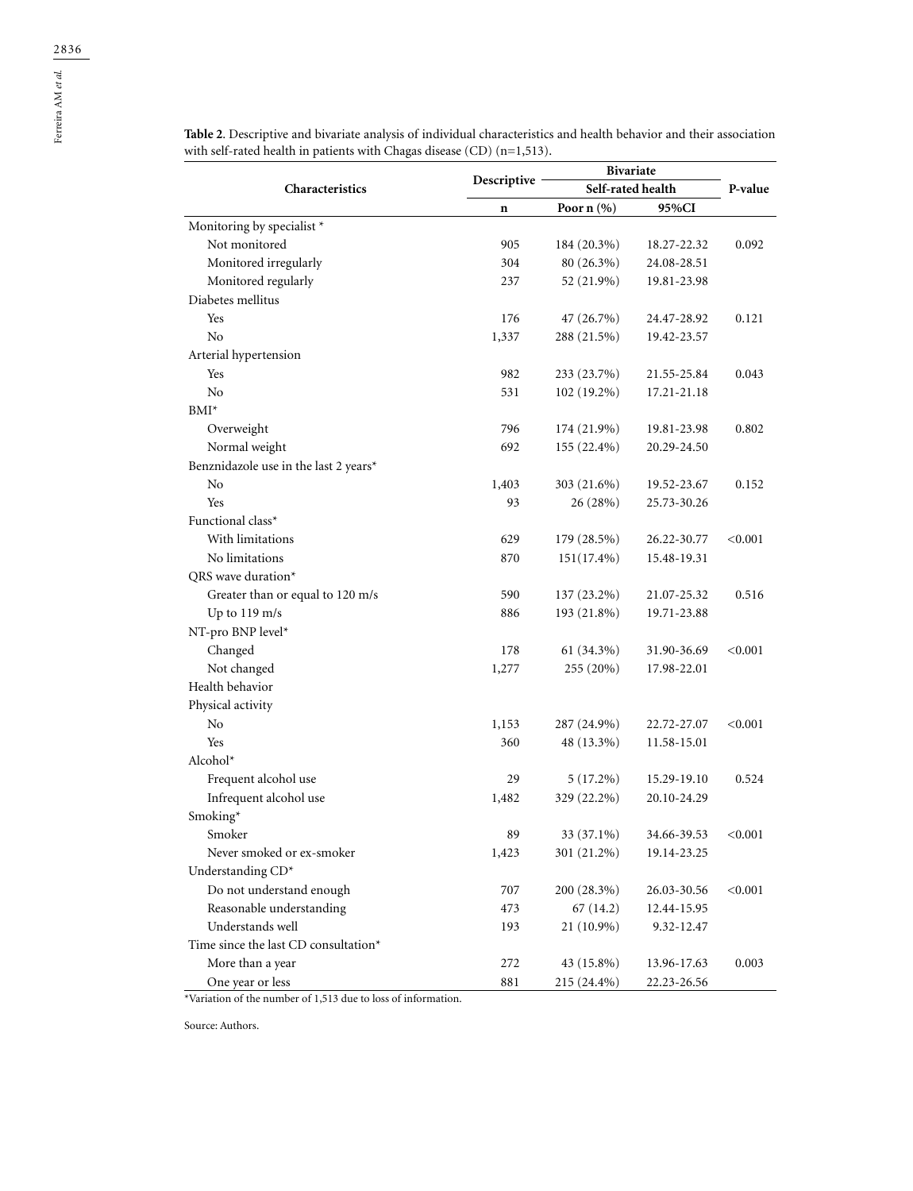|                                       |             | <b>Bivariate</b>  |             |         |
|---------------------------------------|-------------|-------------------|-------------|---------|
| Characteristics                       | Descriptive | Self-rated health |             | P-value |
|                                       | n           | Poor $n$ $(\%)$   | 95%CI       |         |
| Monitoring by specialist *            |             |                   |             |         |
| Not monitored                         | 905         | 184 (20.3%)       | 18.27-22.32 | 0.092   |
| Monitored irregularly                 | 304         | 80 (26.3%)        | 24.08-28.51 |         |
| Monitored regularly                   | 237         | 52 (21.9%)        | 19.81-23.98 |         |
| Diabetes mellitus                     |             |                   |             |         |
| Yes                                   | 176         | 47 (26.7%)        | 24.47-28.92 | 0.121   |
| N <sub>o</sub>                        | 1,337       | 288 (21.5%)       | 19.42-23.57 |         |
| Arterial hypertension                 |             |                   |             |         |
| Yes                                   | 982         | 233 (23.7%)       | 21.55-25.84 | 0.043   |
| No                                    | 531         | 102 (19.2%)       | 17.21-21.18 |         |
| BMI*                                  |             |                   |             |         |
| Overweight                            | 796         | 174 (21.9%)       | 19.81-23.98 | 0.802   |
| Normal weight                         | 692         | 155 (22.4%)       | 20.29-24.50 |         |
| Benznidazole use in the last 2 years* |             |                   |             |         |
| No                                    | 1,403       | 303 (21.6%)       | 19.52-23.67 | 0.152   |
| Yes                                   | 93          | 26 (28%)          | 25.73-30.26 |         |
| Functional class*                     |             |                   |             |         |
| With limitations                      | 629         | 179 (28.5%)       | 26.22-30.77 | < 0.001 |
| No limitations                        | 870         | $151(17.4\%)$     | 15.48-19.31 |         |
| QRS wave duration*                    |             |                   |             |         |
| Greater than or equal to 120 m/s      | 590         | 137 (23.2%)       | 21.07-25.32 | 0.516   |
| Up to $119 \text{ m/s}$               | 886         | 193 (21.8%)       | 19.71-23.88 |         |
| NT-pro BNP level*                     |             |                   |             |         |
| Changed                               | 178         | 61 (34.3%)        | 31.90-36.69 | < 0.001 |
| Not changed                           | 1,277       | 255 (20%)         | 17.98-22.01 |         |
| Health behavior                       |             |                   |             |         |
| Physical activity                     |             |                   |             |         |
| No                                    | 1,153       | 287 (24.9%)       | 22.72-27.07 | < 0.001 |
| Yes                                   | 360         | 48 (13.3%)        | 11.58-15.01 |         |
| Alcohol*                              |             |                   |             |         |
| Frequent alcohol use                  | 29          | $5(17.2\%)$       | 15.29-19.10 | 0.524   |
| Infrequent alcohol use                | 1,482       | 329 (22.2%)       | 20.10-24.29 |         |
| Smoking*                              |             |                   |             |         |
| Smoker                                | 89          | 33 (37.1%)        | 34.66-39.53 | < 0.001 |
| Never smoked or ex-smoker             | 1,423       | 301 (21.2%)       | 19.14-23.25 |         |
| Understanding CD*                     |             |                   |             |         |
| Do not understand enough              | 707         | 200 (28.3%)       | 26.03-30.56 | < 0.001 |
| Reasonable understanding              | 473         | 67(14.2)          | 12.44-15.95 |         |
| Understands well                      | 193         | 21 (10.9%)        | 9.32-12.47  |         |
| Time since the last CD consultation*  |             |                   |             |         |
| More than a year                      | 272         | 43 (15.8%)        | 13.96-17.63 | 0.003   |
| One year or less                      | 881         | 215 (24.4%)       | 22.23-26.56 |         |

**Table 2**. Descriptive and bivariate analysis of individual characteristics and health behavior and their association with self-rated health in patients with Chagas disease (CD) (n=1,513).

\*Variation of the number of 1,513 due to loss of information.

Source: Authors.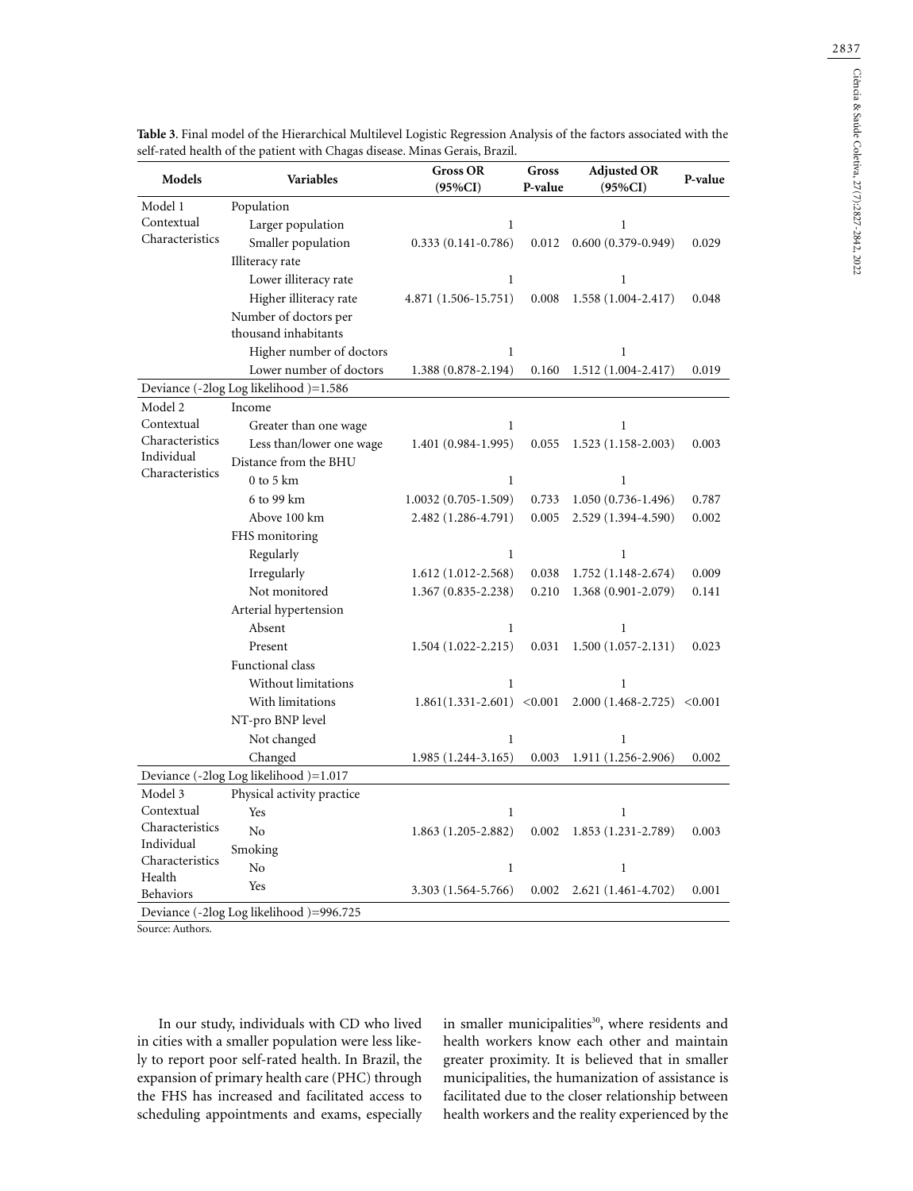| Model 1<br>Population<br>Contextual<br>Larger population<br>$\mathbf{1}$<br>Characteristics<br>Smaller population<br>$0.333(0.141 - 0.786)$<br>0.012<br>Illiteracy rate<br>Lower illiteracy rate<br>$\mathbf{1}$<br>Higher illiteracy rate<br>4.871 (1.506-15.751)<br>0.008<br>Number of doctors per<br>thousand inhabitants<br>Higher number of doctors<br>1<br>Lower number of doctors<br>1.388 (0.878-2.194)<br>0.160<br>Deviance (-2log Log likelihood)=1.586<br>Income<br>Model 2<br>Contextual<br>Greater than one wage<br>$\mathbf{1}$<br>Characteristics<br>Less than/lower one wage<br>1.401 (0.984-1.995)<br>0.055<br>Individual<br>Distance from the BHU<br>Characteristics<br>$0$ to $5~\mathrm{km}$<br>1<br>6 to 99 km<br>$1.0032(0.705-1.509)$<br>0.733<br>Above 100 km<br>2.482 (1.286-4.791)<br>0.005<br>FHS monitoring<br>Regularly<br>$\mathbf{1}$<br>Irregularly<br>$1.612(1.012 - 2.568)$<br>0.038<br>Not monitored<br>1.367 (0.835-2.238)<br>0.210<br>Arterial hypertension<br>Absent<br>1<br>Present<br>$1.504(1.022 - 2.215)$<br>0.031<br>Functional class<br>Without limitations<br>1<br>With limitations<br>$1.861(1.331-2.601) < 0.001$<br>NT-pro BNP level<br>Not changed<br>$\mathbf 1$ | $\mathbf{1}$<br>$0.600(0.379 - 0.949)$<br>$\mathbf{1}$<br>$1.558(1.004-2.417)$<br>1<br>$1.512(1.004-2.417)$<br>$\mathbf{1}$<br>$1.523(1.158-2.003)$<br>$\mathbf{1}$<br>$1.050(0.736-1.496)$<br>2.529 (1.394-4.590) | 0.029<br>0.048<br>0.019<br>0.003<br>0.787<br>0.002 |
|---------------------------------------------------------------------------------------------------------------------------------------------------------------------------------------------------------------------------------------------------------------------------------------------------------------------------------------------------------------------------------------------------------------------------------------------------------------------------------------------------------------------------------------------------------------------------------------------------------------------------------------------------------------------------------------------------------------------------------------------------------------------------------------------------------------------------------------------------------------------------------------------------------------------------------------------------------------------------------------------------------------------------------------------------------------------------------------------------------------------------------------------------------------------------------------------------------------------|--------------------------------------------------------------------------------------------------------------------------------------------------------------------------------------------------------------------|----------------------------------------------------|
|                                                                                                                                                                                                                                                                                                                                                                                                                                                                                                                                                                                                                                                                                                                                                                                                                                                                                                                                                                                                                                                                                                                                                                                                                     |                                                                                                                                                                                                                    |                                                    |
|                                                                                                                                                                                                                                                                                                                                                                                                                                                                                                                                                                                                                                                                                                                                                                                                                                                                                                                                                                                                                                                                                                                                                                                                                     |                                                                                                                                                                                                                    |                                                    |
|                                                                                                                                                                                                                                                                                                                                                                                                                                                                                                                                                                                                                                                                                                                                                                                                                                                                                                                                                                                                                                                                                                                                                                                                                     |                                                                                                                                                                                                                    |                                                    |
|                                                                                                                                                                                                                                                                                                                                                                                                                                                                                                                                                                                                                                                                                                                                                                                                                                                                                                                                                                                                                                                                                                                                                                                                                     |                                                                                                                                                                                                                    |                                                    |
|                                                                                                                                                                                                                                                                                                                                                                                                                                                                                                                                                                                                                                                                                                                                                                                                                                                                                                                                                                                                                                                                                                                                                                                                                     |                                                                                                                                                                                                                    |                                                    |
|                                                                                                                                                                                                                                                                                                                                                                                                                                                                                                                                                                                                                                                                                                                                                                                                                                                                                                                                                                                                                                                                                                                                                                                                                     |                                                                                                                                                                                                                    |                                                    |
|                                                                                                                                                                                                                                                                                                                                                                                                                                                                                                                                                                                                                                                                                                                                                                                                                                                                                                                                                                                                                                                                                                                                                                                                                     |                                                                                                                                                                                                                    |                                                    |
|                                                                                                                                                                                                                                                                                                                                                                                                                                                                                                                                                                                                                                                                                                                                                                                                                                                                                                                                                                                                                                                                                                                                                                                                                     |                                                                                                                                                                                                                    |                                                    |
|                                                                                                                                                                                                                                                                                                                                                                                                                                                                                                                                                                                                                                                                                                                                                                                                                                                                                                                                                                                                                                                                                                                                                                                                                     |                                                                                                                                                                                                                    |                                                    |
|                                                                                                                                                                                                                                                                                                                                                                                                                                                                                                                                                                                                                                                                                                                                                                                                                                                                                                                                                                                                                                                                                                                                                                                                                     |                                                                                                                                                                                                                    |                                                    |
|                                                                                                                                                                                                                                                                                                                                                                                                                                                                                                                                                                                                                                                                                                                                                                                                                                                                                                                                                                                                                                                                                                                                                                                                                     |                                                                                                                                                                                                                    |                                                    |
|                                                                                                                                                                                                                                                                                                                                                                                                                                                                                                                                                                                                                                                                                                                                                                                                                                                                                                                                                                                                                                                                                                                                                                                                                     |                                                                                                                                                                                                                    |                                                    |
|                                                                                                                                                                                                                                                                                                                                                                                                                                                                                                                                                                                                                                                                                                                                                                                                                                                                                                                                                                                                                                                                                                                                                                                                                     |                                                                                                                                                                                                                    |                                                    |
|                                                                                                                                                                                                                                                                                                                                                                                                                                                                                                                                                                                                                                                                                                                                                                                                                                                                                                                                                                                                                                                                                                                                                                                                                     |                                                                                                                                                                                                                    |                                                    |
|                                                                                                                                                                                                                                                                                                                                                                                                                                                                                                                                                                                                                                                                                                                                                                                                                                                                                                                                                                                                                                                                                                                                                                                                                     |                                                                                                                                                                                                                    |                                                    |
|                                                                                                                                                                                                                                                                                                                                                                                                                                                                                                                                                                                                                                                                                                                                                                                                                                                                                                                                                                                                                                                                                                                                                                                                                     |                                                                                                                                                                                                                    |                                                    |
|                                                                                                                                                                                                                                                                                                                                                                                                                                                                                                                                                                                                                                                                                                                                                                                                                                                                                                                                                                                                                                                                                                                                                                                                                     |                                                                                                                                                                                                                    |                                                    |
|                                                                                                                                                                                                                                                                                                                                                                                                                                                                                                                                                                                                                                                                                                                                                                                                                                                                                                                                                                                                                                                                                                                                                                                                                     |                                                                                                                                                                                                                    |                                                    |
|                                                                                                                                                                                                                                                                                                                                                                                                                                                                                                                                                                                                                                                                                                                                                                                                                                                                                                                                                                                                                                                                                                                                                                                                                     | 1                                                                                                                                                                                                                  |                                                    |
|                                                                                                                                                                                                                                                                                                                                                                                                                                                                                                                                                                                                                                                                                                                                                                                                                                                                                                                                                                                                                                                                                                                                                                                                                     | $1.752(1.148-2.674)$                                                                                                                                                                                               | 0.009                                              |
|                                                                                                                                                                                                                                                                                                                                                                                                                                                                                                                                                                                                                                                                                                                                                                                                                                                                                                                                                                                                                                                                                                                                                                                                                     | 1.368 (0.901-2.079)                                                                                                                                                                                                | 0.141                                              |
|                                                                                                                                                                                                                                                                                                                                                                                                                                                                                                                                                                                                                                                                                                                                                                                                                                                                                                                                                                                                                                                                                                                                                                                                                     |                                                                                                                                                                                                                    |                                                    |
|                                                                                                                                                                                                                                                                                                                                                                                                                                                                                                                                                                                                                                                                                                                                                                                                                                                                                                                                                                                                                                                                                                                                                                                                                     | 1                                                                                                                                                                                                                  |                                                    |
|                                                                                                                                                                                                                                                                                                                                                                                                                                                                                                                                                                                                                                                                                                                                                                                                                                                                                                                                                                                                                                                                                                                                                                                                                     | $1.500(1.057 - 2.131)$                                                                                                                                                                                             | 0.023                                              |
|                                                                                                                                                                                                                                                                                                                                                                                                                                                                                                                                                                                                                                                                                                                                                                                                                                                                                                                                                                                                                                                                                                                                                                                                                     |                                                                                                                                                                                                                    |                                                    |
|                                                                                                                                                                                                                                                                                                                                                                                                                                                                                                                                                                                                                                                                                                                                                                                                                                                                                                                                                                                                                                                                                                                                                                                                                     | $\mathbf{1}$                                                                                                                                                                                                       |                                                    |
|                                                                                                                                                                                                                                                                                                                                                                                                                                                                                                                                                                                                                                                                                                                                                                                                                                                                                                                                                                                                                                                                                                                                                                                                                     | $2.000(1.468 - 2.725) < 0.001$                                                                                                                                                                                     |                                                    |
|                                                                                                                                                                                                                                                                                                                                                                                                                                                                                                                                                                                                                                                                                                                                                                                                                                                                                                                                                                                                                                                                                                                                                                                                                     |                                                                                                                                                                                                                    |                                                    |
|                                                                                                                                                                                                                                                                                                                                                                                                                                                                                                                                                                                                                                                                                                                                                                                                                                                                                                                                                                                                                                                                                                                                                                                                                     | $\mathbf{1}$                                                                                                                                                                                                       |                                                    |
| Changed<br>$1.985(1.244-3.165)$<br>0.003                                                                                                                                                                                                                                                                                                                                                                                                                                                                                                                                                                                                                                                                                                                                                                                                                                                                                                                                                                                                                                                                                                                                                                            | 1.911 (1.256-2.906)                                                                                                                                                                                                | 0.002                                              |
| Deviance (-2log Log likelihood )=1.017                                                                                                                                                                                                                                                                                                                                                                                                                                                                                                                                                                                                                                                                                                                                                                                                                                                                                                                                                                                                                                                                                                                                                                              |                                                                                                                                                                                                                    |                                                    |
| Model 3<br>Physical activity practice                                                                                                                                                                                                                                                                                                                                                                                                                                                                                                                                                                                                                                                                                                                                                                                                                                                                                                                                                                                                                                                                                                                                                                               |                                                                                                                                                                                                                    |                                                    |
| Contextual<br>Yes<br>1                                                                                                                                                                                                                                                                                                                                                                                                                                                                                                                                                                                                                                                                                                                                                                                                                                                                                                                                                                                                                                                                                                                                                                                              | $\mathbf{1}$                                                                                                                                                                                                       |                                                    |
| Characteristics<br>No<br>$1.863(1.205 - 2.882)$<br>0.002                                                                                                                                                                                                                                                                                                                                                                                                                                                                                                                                                                                                                                                                                                                                                                                                                                                                                                                                                                                                                                                                                                                                                            |                                                                                                                                                                                                                    | 0.003                                              |
| Individual<br>Smoking<br>Characteristics                                                                                                                                                                                                                                                                                                                                                                                                                                                                                                                                                                                                                                                                                                                                                                                                                                                                                                                                                                                                                                                                                                                                                                            | $1.853(1.231-2.789)$                                                                                                                                                                                               |                                                    |
| No<br>$\mathbf{1}$<br>Health                                                                                                                                                                                                                                                                                                                                                                                                                                                                                                                                                                                                                                                                                                                                                                                                                                                                                                                                                                                                                                                                                                                                                                                        |                                                                                                                                                                                                                    |                                                    |
| Yes<br>3.303 (1.564-5.766)<br>0.002<br>2.621 (1.461-4.702)<br><b>Behaviors</b><br>Deviance (-2log Log likelihood)=996.725                                                                                                                                                                                                                                                                                                                                                                                                                                                                                                                                                                                                                                                                                                                                                                                                                                                                                                                                                                                                                                                                                           | $\mathbf{1}$                                                                                                                                                                                                       |                                                    |

**Table 3**. Final model of the Hierarchical Multilevel Logistic Regression Analysis of the factors associated with the

Source: Authors.

In our study, individuals with CD who lived in cities with a smaller population were less likely to report poor self-rated health. In Brazil, the expansion of primary health care (PHC) through the FHS has increased and facilitated access to scheduling appointments and exams, especially in smaller municipalities<sup>30</sup>, where residents and health workers know each other and maintain greater proximity. It is believed that in smaller municipalities, the humanization of assistance is facilitated due to the closer relationship between health workers and the reality experienced by the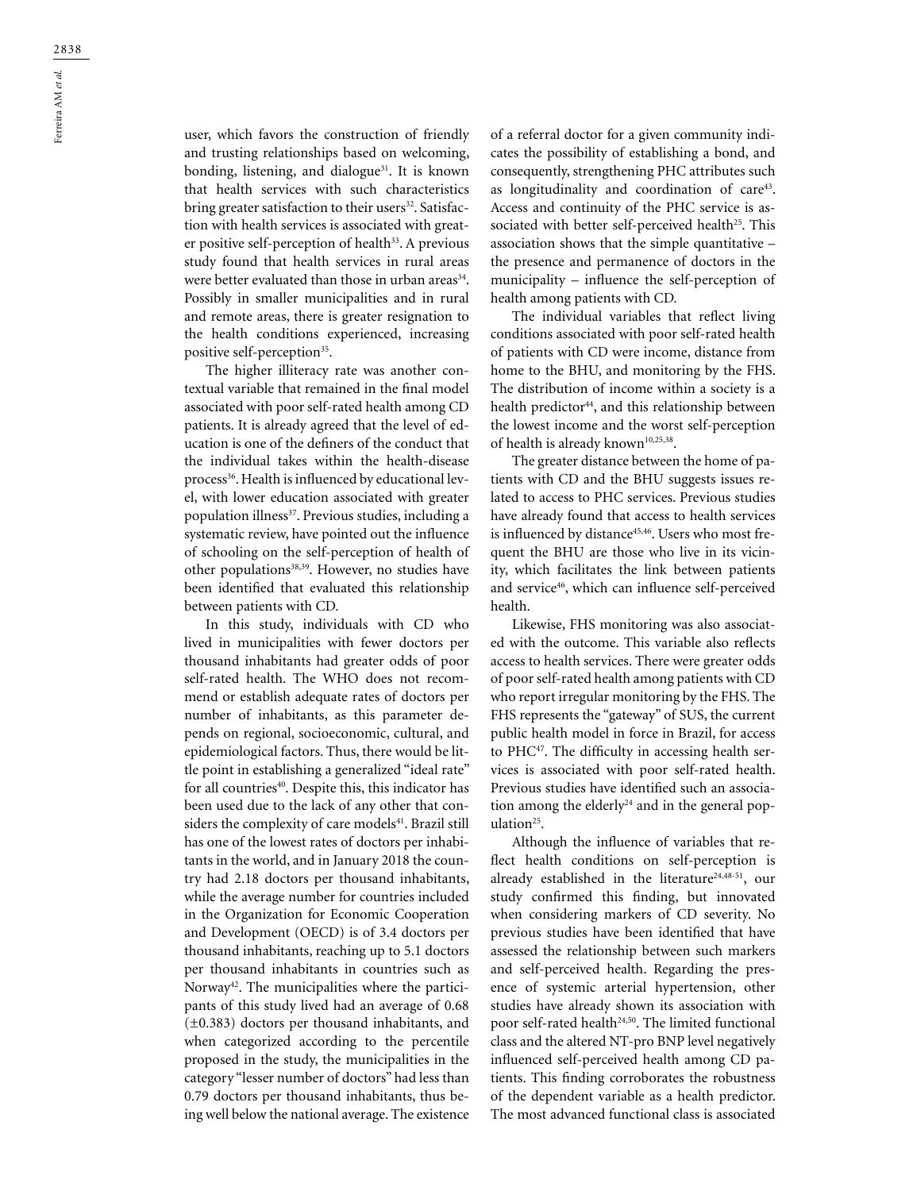user, which favors the construction of friendly and trusting relationships based on welcoming, bonding, listening, and dialogue<sup>31</sup>. It is known that health services with such characteristics bring greater satisfaction to their users<sup>32</sup>. Satisfaction with health services is associated with greater positive self-perception of health<sup>33</sup>. A previous study found that health services in rural areas were better evaluated than those in urban areas<sup>34</sup>. Possibly in smaller municipalities and in rural and remote areas, there is greater resignation to the health conditions experienced, increasing positive self-perception<sup>35</sup>.

The higher illiteracy rate was another contextual variable that remained in the final model associated with poor self-rated health among CD patients. It is already agreed that the level of education is one of the definers of the conduct that the individual takes within the health-disease process<sup>36</sup>. Health is influenced by educational level, with lower education associated with greater population illness<sup>37</sup>. Previous studies, including a systematic review, have pointed out the influence of schooling on the self-perception of health of other populations<sup>38,39</sup>. However, no studies have been identified that evaluated this relationship between patients with CD.

In this study, individuals with CD who lived in municipalities with fewer doctors per thousand inhabitants had greater odds of poor self-rated health. The WHO does not recommend or establish adequate rates of doctors per number of inhabitants, as this parameter depends on regional, socioeconomic, cultural, and epidemiological factors. Thus, there would be little point in establishing a generalized "ideal rate" for all countries<sup>40</sup>. Despite this, this indicator has been used due to the lack of any other that considers the complexity of care models<sup>41</sup>. Brazil still has one of the lowest rates of doctors per inhabitants in the world, and in January 2018 the country had 2.18 doctors per thousand inhabitants, while the average number for countries included in the Organization for Economic Cooperation and Development (OECD) is of 3.4 doctors per thousand inhabitants, reaching up to 5.1 doctors per thousand inhabitants in countries such as Norway<sup>42</sup>. The municipalities where the participants of this study lived had an average of 0.68 (±0.383) doctors per thousand inhabitants, and when categorized according to the percentile proposed in the study, the municipalities in the category "lesser number of doctors" had less than 0.79 doctors per thousand inhabitants, thus being well below the national average. The existence

of a referral doctor for a given community indicates the possibility of establishing a bond, and consequently, strengthening PHC attributes such as longitudinality and coordination of care<sup>43</sup>. Access and continuity of the PHC service is associated with better self-perceived health<sup>25</sup>. This association shows that the simple quantitative – the presence and permanence of doctors in the municipality – influence the self-perception of health among patients with CD.

The individual variables that reflect living conditions associated with poor self-rated health of patients with CD were income, distance from home to the BHU, and monitoring by the FHS. The distribution of income within a society is a health predictor<sup>44</sup>, and this relationship between the lowest income and the worst self-perception of health is already known<sup>10,25,38</sup>.

The greater distance between the home of patients with CD and the BHU suggests issues related to access to PHC services. Previous studies have already found that access to health services is influenced by distance<sup>45,46</sup>. Users who most frequent the BHU are those who live in its vicinity, which facilitates the link between patients and service<sup>46</sup>, which can influence self-perceived health.

Likewise, FHS monitoring was also associated with the outcome. This variable also reflects access to health services. There were greater odds of poor self-rated health among patients with CD who report irregular monitoring by the FHS. The FHS represents the "gateway" of SUS, the current public health model in force in Brazil, for access to PHC<sup>47</sup>. The difficulty in accessing health services is associated with poor self-rated health. Previous studies have identified such an association among the elderly<sup>24</sup> and in the general population<sup>25</sup>.

Although the influence of variables that reflect health conditions on self-perception is already established in the literature<sup>24,48-51</sup>, our study confirmed this finding, but innovated when considering markers of CD severity. No previous studies have been identified that have assessed the relationship between such markers and self-perceived health. Regarding the presence of systemic arterial hypertension, other studies have already shown its association with poor self-rated health<sup>24,50</sup>. The limited functional class and the altered NT-pro BNP level negatively influenced self-perceived health among CD patients. This finding corroborates the robustness of the dependent variable as a health predictor. The most advanced functional class is associated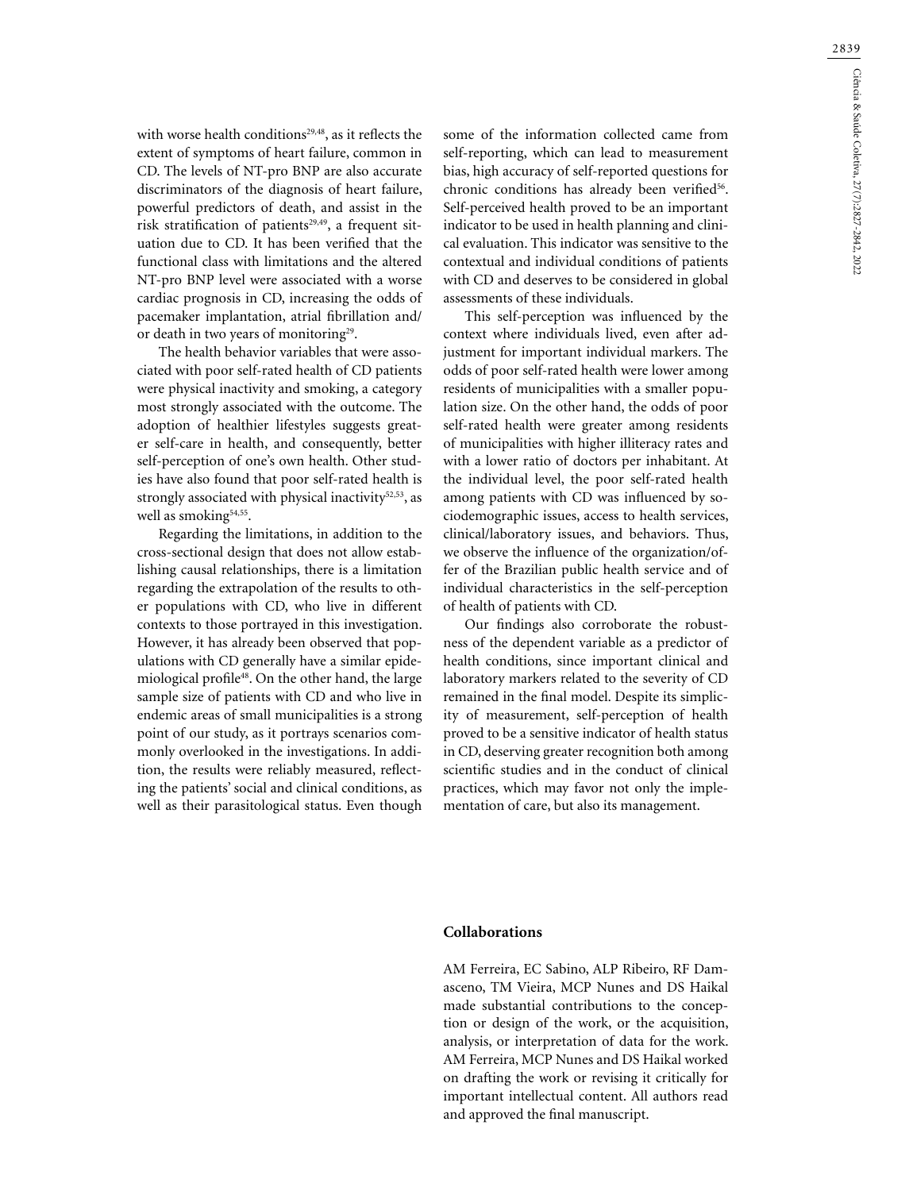with worse health conditions<sup>29,48</sup>, as it reflects the extent of symptoms of heart failure, common in CD. The levels of NT-pro BNP are also accurate discriminators of the diagnosis of heart failure, powerful predictors of death, and assist in the risk stratification of patients<sup>29,49</sup>, a frequent situation due to CD. It has been verified that the functional class with limitations and the altered NT-pro BNP level were associated with a worse cardiac prognosis in CD, increasing the odds of pacemaker implantation, atrial fibrillation and/ or death in two years of monitoring<sup>29</sup>.

The health behavior variables that were associated with poor self-rated health of CD patients were physical inactivity and smoking, a category most strongly associated with the outcome. The adoption of healthier lifestyles suggests greater self-care in health, and consequently, better self-perception of one's own health. Other studies have also found that poor self-rated health is strongly associated with physical inactivity<sup>52,53</sup>, as well as smoking<sup>54,55</sup>.

Regarding the limitations, in addition to the cross-sectional design that does not allow establishing causal relationships, there is a limitation regarding the extrapolation of the results to other populations with CD, who live in different contexts to those portrayed in this investigation. However, it has already been observed that populations with CD generally have a similar epidemiological profile<sup>48</sup>. On the other hand, the large sample size of patients with CD and who live in endemic areas of small municipalities is a strong point of our study, as it portrays scenarios commonly overlooked in the investigations. In addition, the results were reliably measured, reflecting the patients' social and clinical conditions, as well as their parasitological status. Even though

some of the information collected came from self-reporting, which can lead to measurement bias, high accuracy of self-reported questions for chronic conditions has already been verified<sup>56</sup>. Self-perceived health proved to be an important indicator to be used in health planning and clinical evaluation. This indicator was sensitive to the contextual and individual conditions of patients with CD and deserves to be considered in global assessments of these individuals.

This self-perception was influenced by the context where individuals lived, even after adjustment for important individual markers. The odds of poor self-rated health were lower among residents of municipalities with a smaller population size. On the other hand, the odds of poor self-rated health were greater among residents of municipalities with higher illiteracy rates and with a lower ratio of doctors per inhabitant. At the individual level, the poor self-rated health among patients with CD was influenced by sociodemographic issues, access to health services, clinical/laboratory issues, and behaviors. Thus, we observe the influence of the organization/offer of the Brazilian public health service and of individual characteristics in the self-perception of health of patients with CD.

Our findings also corroborate the robustness of the dependent variable as a predictor of health conditions, since important clinical and laboratory markers related to the severity of CD remained in the final model. Despite its simplicity of measurement, self-perception of health proved to be a sensitive indicator of health status in CD, deserving greater recognition both among scientific studies and in the conduct of clinical practices, which may favor not only the implementation of care, but also its management.

#### **Collaborations**

AM Ferreira, EC Sabino, ALP Ribeiro, RF Damasceno, TM Vieira, MCP Nunes and DS Haikal made substantial contributions to the conception or design of the work, or the acquisition, analysis, or interpretation of data for the work. AM Ferreira, MCP Nunes and DS Haikal worked on drafting the work or revising it critically for important intellectual content. All authors read and approved the final manuscript.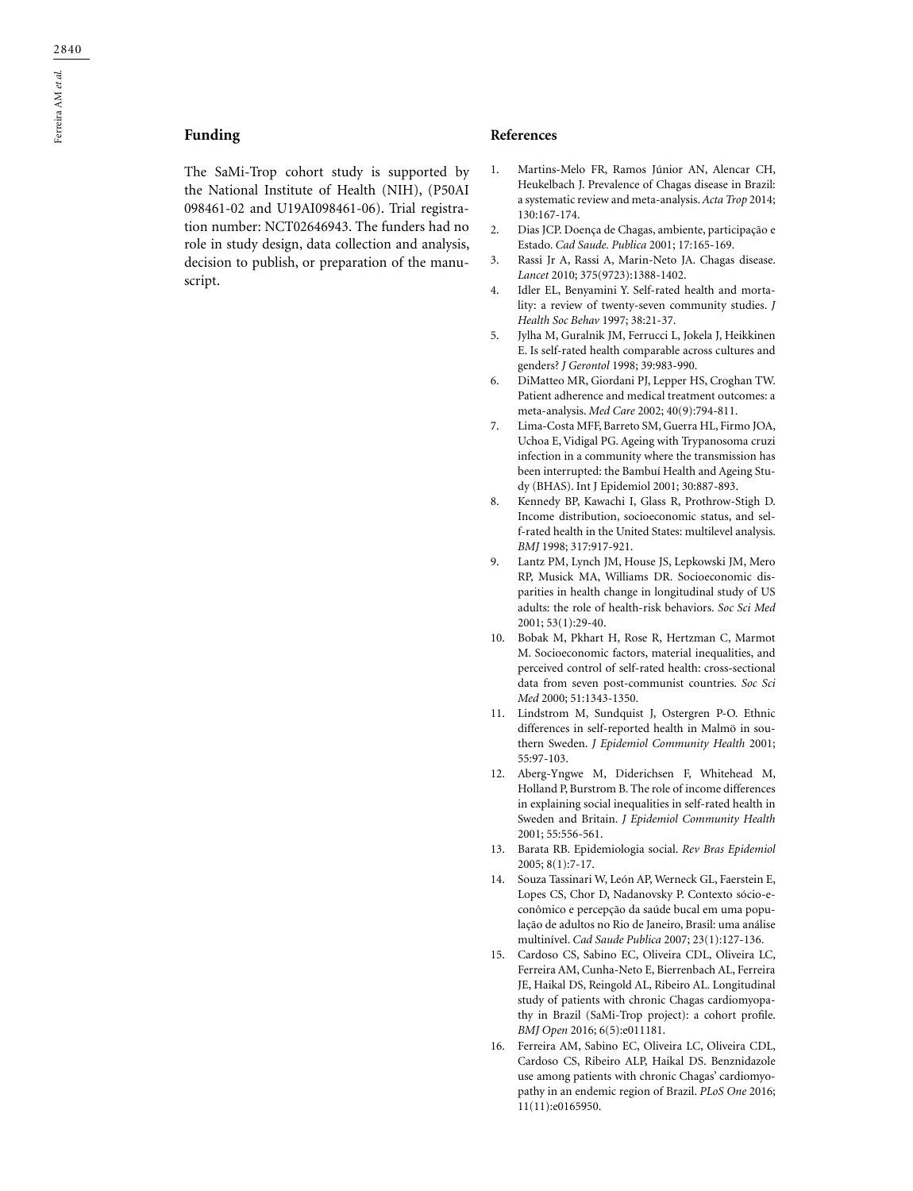## **Funding**

The SaMi-Trop cohort study is supported by the National Institute of Health (NIH), (P50AI 098461-02 and U19AI098461-06). Trial registration number: NCT02646943. The funders had no role in study design, data collection and analysis, decision to publish, or preparation of the manuscript.

#### **References**

- 1. Martins-Melo FR, Ramos Júnior AN, Alencar CH, Heukelbach J. Prevalence of Chagas disease in Brazil: a systematic review and meta-analysis. *Acta Trop* 2014; 130:167-174.
- 2. Dias JCP. Doença de Chagas, ambiente, participação e Estado. *Cad Saude. Publica* 2001; 17:165-169.
- 3. Rassi Jr A, Rassi A, Marin-Neto JA. Chagas disease. *Lancet* 2010; 375(9723):1388-1402.
- 4. Idler EL, Benyamini Y. Self-rated health and mortality: a review of twenty-seven community studies. *J Health Soc Behav* 1997; 38:21-37.
- 5. Jylha M, Guralnik JM, Ferrucci L, Jokela J, Heikkinen E. Is self-rated health comparable across cultures and genders? *J Gerontol* 1998; 39:983-990.
- 6. DiMatteo MR, Giordani PJ, Lepper HS, Croghan TW. Patient adherence and medical treatment outcomes: a meta-analysis. *Med Care* 2002; 40(9):794-811.
- 7. Lima-Costa MFF, Barreto SM, Guerra HL, Firmo JOA, Uchoa E, Vidigal PG. Ageing with Trypanosoma cruzi infection in a community where the transmission has been interrupted: the Bambuí Health and Ageing Study (BHAS). Int J Epidemiol 2001; 30:887-893.
- 8. Kennedy BP, Kawachi I, Glass R, Prothrow-Stigh D. Income distribution, socioeconomic status, and self-rated health in the United States: multilevel analysis. *BMJ* 1998; 317:917-921.
- 9. Lantz PM, Lynch JM, House JS, Lepkowski JM, Mero RP, Musick MA, Williams DR. Socioeconomic disparities in health change in longitudinal study of US adults: the role of health-risk behaviors. *Soc Sci Med* 2001; 53(1):29-40.
- 10. Bobak M, Pkhart H, Rose R, Hertzman C, Marmot M. Socioeconomic factors, material inequalities, and perceived control of self-rated health: cross-sectional data from seven post-communist countries. *Soc Sci Med* 2000; 51:1343-1350.
- 11. Lindstrom M, Sundquist J, Ostergren P-O. Ethnic differences in self-reported health in Malmö in southern Sweden. *J Epidemiol Community Health* 2001; 55:97-103.
- 12. Aberg-Yngwe M, Diderichsen F, Whitehead M, Holland P, Burstrom B. The role of income differences in explaining social inequalities in self-rated health in Sweden and Britain. *J Epidemiol Community Health* 2001; 55:556-561.
- 13. Barata RB. Epidemiologia social. *Rev Bras Epidemiol* 2005; 8(1):7-17.
- 14. Souza Tassinari W, León AP, Werneck GL, Faerstein E, Lopes CS, Chor D, Nadanovsky P. Contexto sócio-econômico e percepção da saúde bucal em uma população de adultos no Rio de Janeiro, Brasil: uma análise multinível. *Cad Saude Publica* 2007; 23(1):127-136.
- 15. Cardoso CS, Sabino EC, Oliveira CDL, Oliveira LC, Ferreira AM, Cunha-Neto E, Bierrenbach AL, Ferreira JE, Haikal DS, Reingold AL, Ribeiro AL. Longitudinal study of patients with chronic Chagas cardiomyopathy in Brazil (SaMi-Trop project): a cohort profile. *BMJ Open* 2016; 6(5):e011181.
- 16. Ferreira AM, Sabino EC, Oliveira LC, Oliveira CDL, Cardoso CS, Ribeiro ALP, Haikal DS. Benznidazole use among patients with chronic Chagas' cardiomyopathy in an endemic region of Brazil. *PLoS One* 2016; 11(11):e0165950.

Ferreira AM et al. Ferreira AM *et al.*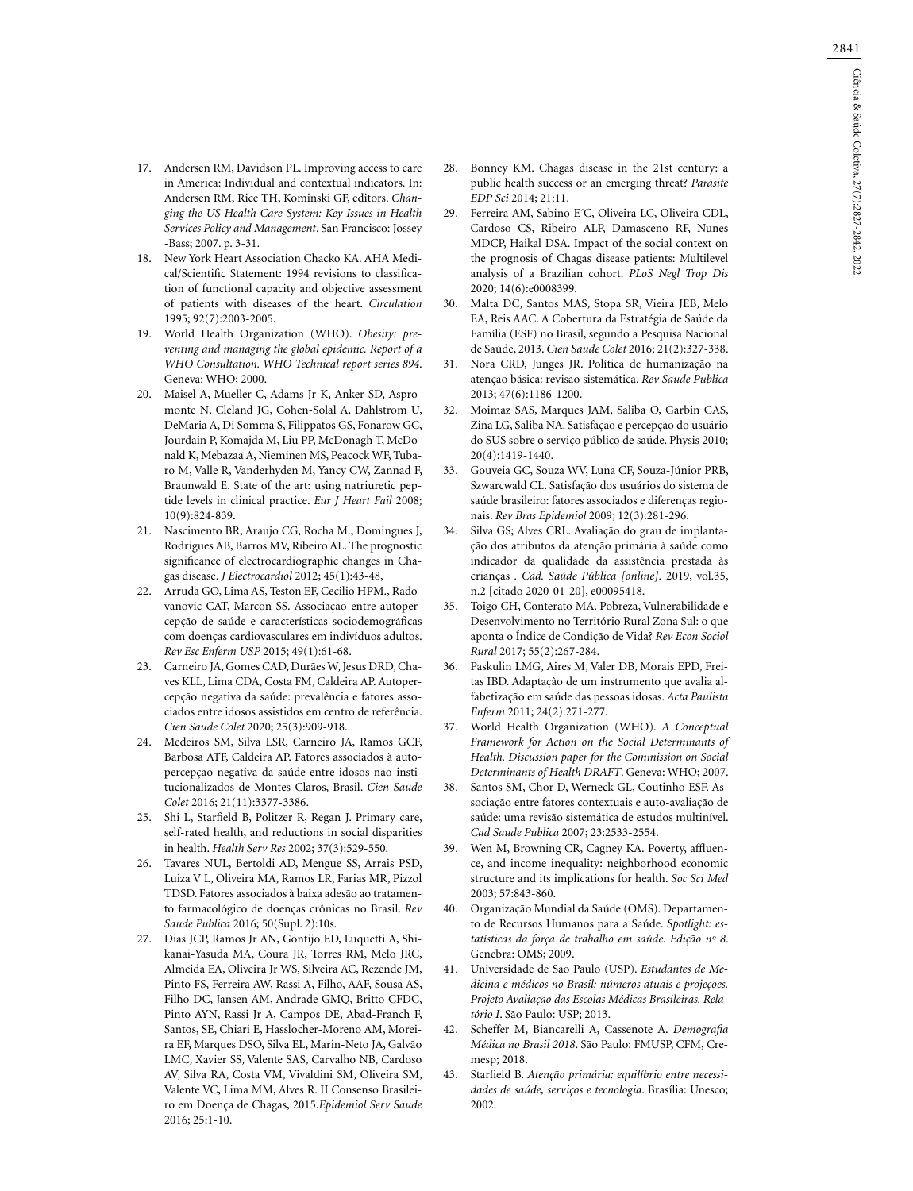- 17. Andersen RM, Davidson PL. Improving access to care in America: Individual and contextual indicators. In: Andersen RM, Rice TH, Kominski GF, editors. *Changing the US Health Care System: Key Issues in Health Services Policy and Management*. San Francisco: Jossey -Bass; 2007. p. 3-31.
- 18. New York Heart Association Chacko KA. AHA Medical/Scientific Statement: 1994 revisions to classification of functional capacity and objective assessment of patients with diseases of the heart. *Circulation* 1995; 92(7):2003-2005.
- 19. World Health Organization (WHO). *Obesity: preventing and managing the global epidemic. Report of a WHO Consultation. WHO Technical report series 894*. Geneva: WHO; 2000.
- 20. Maisel A, Mueller C, Adams Jr K, Anker SD, Aspromonte N, Cleland JG, Cohen-Solal A, Dahlstrom U, DeMaria A, Di Somma S, Filippatos GS, Fonarow GC, Jourdain P, Komajda M, Liu PP, McDonagh T, McDonald K, Mebazaa A, Nieminen MS, Peacock WF, Tubaro M, Valle R, Vanderhyden M, Yancy CW, Zannad F, Braunwald E. State of the art: using natriuretic peptide levels in clinical practice. *Eur J Heart Fail* 2008; 10(9):824-839.
- 21. Nascimento BR, Araujo CG, Rocha M., Domingues J, Rodrigues AB, Barros MV, Ribeiro AL. The prognostic significance of electrocardiographic changes in Chagas disease. *J Electrocardiol* 2012; 45(1):43-48,
- 22. Arruda GO, Lima AS, Teston EF, Cecilio HPM., Radovanovic CAT, Marcon SS. Associação entre autopercepção de saúde e características sociodemográficas com doenças cardiovasculares em indivíduos adultos. *Rev Esc Enferm USP* 2015; 49(1):61-68.
- 23. Carneiro JA, Gomes CAD, Durães W, Jesus DRD, Chaves KLL, Lima CDA, Costa FM, Caldeira AP. Autopercepção negativa da saúde: prevalência e fatores associados entre idosos assistidos em centro de referência. *Cien Saude Colet* 2020; 25(3):909-918.
- 24. Medeiros SM, Silva LSR, Carneiro JA, Ramos GCF, Barbosa ATF, Caldeira AP. Fatores associados à autopercepção negativa da saúde entre idosos não institucionalizados de Montes Claros, Brasil. *Cien Saude Colet* 2016; 21(11):3377-3386.
- 25. Shi L, Starfield B, Politzer R, Regan J. Primary care, self-rated health, and reductions in social disparities in health. *Health Serv Res* 2002; 37(3):529-550.
- 26. Tavares NUL, Bertoldi AD, Mengue SS, Arrais PSD, Luiza V L, Oliveira MA, Ramos LR, Farias MR, Pizzol TDSD. Fatores associados à baixa adesão ao tratamento farmacológico de doenças crônicas no Brasil. *Rev Saude Publica* 2016; 50(Supl. 2):10s.
- 27. Dias JCP, Ramos Jr AN, Gontijo ED, Luquetti A, Shikanai-Yasuda MA, Coura JR, Torres RM, Melo JRC, Almeida EA, Oliveira Jr WS, Silveira AC, Rezende JM, Pinto FS, Ferreira AW, Rassi A, Filho, AAF, Sousa AS, Filho DC, Jansen AM, Andrade GMQ, Britto CFDC, Pinto AYN, Rassi Jr A, Campos DE, Abad-Franch F, Santos, SE, Chiari E, Hasslocher-Moreno AM, Moreira EF, Marques DSO, Silva EL, Marin-Neto JA, Galvão LMC, Xavier SS, Valente SAS, Carvalho NB, Cardoso AV, Silva RA, Costa VM, Vivaldini SM, Oliveira SM, Valente VC, Lima MM, Alves R. II Consenso Brasileiro em Doença de Chagas, 2015.*Epidemiol Serv Saude* 2016; 25:1-10.
- 28. Bonney KM. Chagas disease in the 21st century: a public health success or an emerging threat? *Parasite EDP Sci* 2014; 21:11.
- 29. Ferreira AM, Sabino E´C, Oliveira LC, Oliveira CDL, Cardoso CS, Ribeiro ALP, Damasceno RF, Nunes MDCP, Haikal DSA. Impact of the social context on the prognosis of Chagas disease patients: Multilevel analysis of a Brazilian cohort. *PLoS Negl Trop Dis* 2020; 14(6):e0008399.
- 30. Malta DC, Santos MAS, Stopa SR, Vieira JEB, Melo EA, Reis AAC. A Cobertura da Estratégia de Saúde da Família (ESF) no Brasil, segundo a Pesquisa Nacional de Saúde, 2013. *Cien Saude Colet* 2016; 21(2):327-338.
- 31. Nora CRD, Junges JR. Política de humanização na atenção básica: revisão sistemática. *Rev Saude Publica* 2013; 47(6):1186-1200.
- 32. Moimaz SAS, Marques JAM, Saliba O, Garbin CAS, Zina LG, Saliba NA. Satisfação e percepção do usuário do SUS sobre o serviço público de saúde. Physis 2010; 20(4):1419-1440.
- 33. Gouveia GC, Souza WV, Luna CF, Souza-Júnior PRB, Szwarcwald CL. Satisfação dos usuários do sistema de saúde brasileiro: fatores associados e diferenças regionais. *Rev Bras Epidemiol* 2009; 12(3):281-296.
- 34. Silva GS; Alves CRL. Avaliação do grau de implantação dos atributos da atenção primária à saúde como indicador da qualidade da assistência prestada às crianças *. Cad. Saúde Pública [online].* 2019, vol.35, n.2 [citado 2020-01-20], e00095418.
- 35. Toigo CH, Conterato MA. Pobreza, Vulnerabilidade e Desenvolvimento no Território Rural Zona Sul: o que aponta o Índice de Condição de Vida? *Rev Econ Sociol Rural* 2017; 55(2):267-284.
- 36. Paskulin LMG, Aires M, Valer DB, Morais EPD, Freitas IBD. Adaptaçâo de um instrumento que avalia alfabetização em saúde das pessoas idosas. *Acta Paulista Enferm* 2011; 24(2):271-277.
- 37. World Health Organization (WHO). *A Conceptual Framework for Action on the Social Determinants of Health. Discussion paper for the Commission on Social Determinants of Health DRAFT*. Geneva: WHO; 2007.
- 38. Santos SM, Chor D, Werneck GL, Coutinho ESF. Associação entre fatores contextuais e auto-avaliação de saúde: uma revisão sistemática de estudos multinível. *Cad Saude Publica* 2007; 23:2533-2554.
- 39. Wen M, Browning CR, Cagney KA. Poverty, affluence, and income inequality: neighborhood economic structure and its implications for health. *Soc Sci Med* 2003; 57:843-860.
- 40. Organização Mundial da Saúde (OMS). Departamento de Recursos Humanos para a Saúde. *Spotlight: estatísticas da força de trabalho em saúde*. *Edição nº 8*. Genebra: OMS; 2009.
- 41. Universidade de São Paulo (USP). *Estudantes de Medicina e médicos no Brasil: números atuais e projeções. Projeto Avaliação das Escolas Médicas Brasileiras. Relatório I*. São Paulo: USP; 2013.
- 42. Scheffer M, Biancarelli A, Cassenote A. *Demografia Médica no Brasil 2018*. São Paulo: FMUSP, CFM, Cremesp; 2018.
- 43. Starfield B. *Atenção primária: equilíbrio entre necessidades de saúde, serviços e tecnologia*. Brasília: Unesco; 2002.